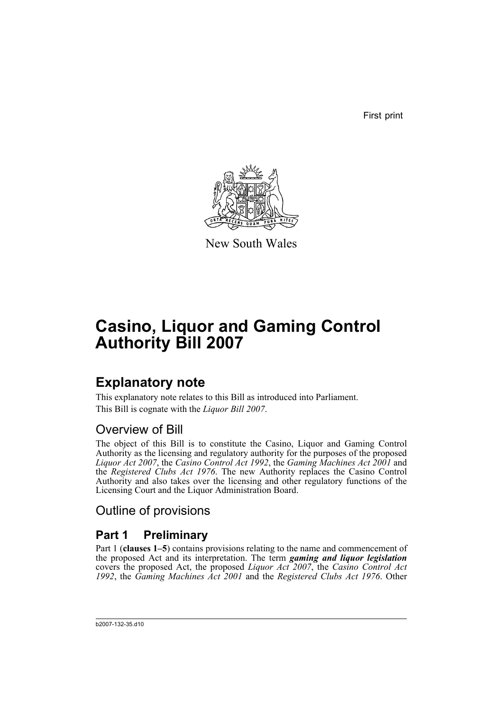First print



New South Wales

# **Casino, Liquor and Gaming Control Authority Bill 2007**

# **Explanatory note**

This explanatory note relates to this Bill as introduced into Parliament. This Bill is cognate with the *Liquor Bill 2007*.

# Overview of Bill

The object of this Bill is to constitute the Casino, Liquor and Gaming Control Authority as the licensing and regulatory authority for the purposes of the proposed *Liquor Act 2007*, the *Casino Control Act 1992*, the *Gaming Machines Act 2001* and the *Registered Clubs Act 1976*. The new Authority replaces the Casino Control Authority and also takes over the licensing and other regulatory functions of the Licensing Court and the Liquor Administration Board.

Outline of provisions

# **Part 1 Preliminary**

Part 1 (**clauses 1–5**) contains provisions relating to the name and commencement of the proposed Act and its interpretation. The term *gaming and liquor legislation* covers the proposed Act, the proposed *Liquor Act 2007*, the *Casino Control Act 1992*, the *Gaming Machines Act 2001* and the *Registered Clubs Act 1976*. Other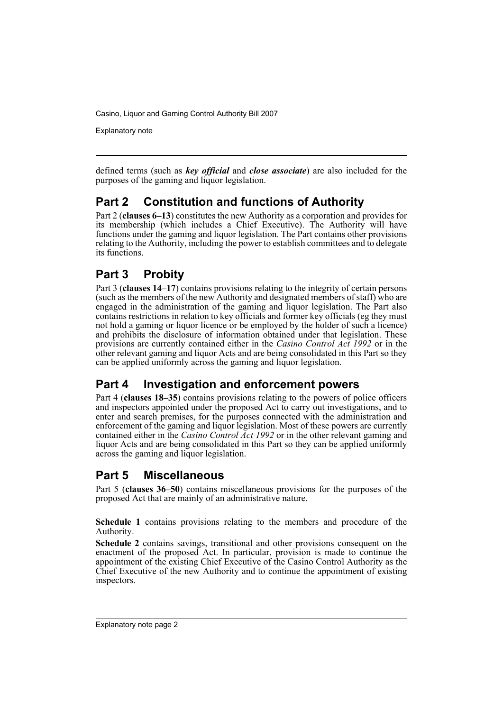Explanatory note

defined terms (such as *key official* and *close associate*) are also included for the purposes of the gaming and liquor legislation.

# **Part 2 Constitution and functions of Authority**

Part 2 (**clauses 6–13**) constitutes the new Authority as a corporation and provides for its membership (which includes a Chief Executive). The Authority will have functions under the gaming and liquor legislation. The Part contains other provisions relating to the Authority, including the power to establish committees and to delegate its functions.

# **Part 3 Probity**

Part 3 (**clauses 14–17**) contains provisions relating to the integrity of certain persons (such as the members of the new Authority and designated members of staff) who are engaged in the administration of the gaming and liquor legislation. The Part also contains restrictions in relation to key officials and former key officials (eg they must not hold a gaming or liquor licence or be employed by the holder of such a licence) and prohibits the disclosure of information obtained under that legislation. These provisions are currently contained either in the *Casino Control Act 1992* or in the other relevant gaming and liquor Acts and are being consolidated in this Part so they can be applied uniformly across the gaming and liquor legislation.

# **Part 4 Investigation and enforcement powers**

Part 4 (**clauses 18–35**) contains provisions relating to the powers of police officers and inspectors appointed under the proposed Act to carry out investigations, and to enter and search premises, for the purposes connected with the administration and enforcement of the gaming and liquor legislation. Most of these powers are currently contained either in the *Casino Control Act 1992* or in the other relevant gaming and liquor Acts and are being consolidated in this Part so they can be applied uniformly across the gaming and liquor legislation.

# **Part 5 Miscellaneous**

Part 5 (**clauses 36–50**) contains miscellaneous provisions for the purposes of the proposed Act that are mainly of an administrative nature.

**Schedule 1** contains provisions relating to the members and procedure of the Authority.

**Schedule 2** contains savings, transitional and other provisions consequent on the enactment of the proposed Act. In particular, provision is made to continue the appointment of the existing Chief Executive of the Casino Control Authority as the Chief Executive of the new Authority and to continue the appointment of existing inspectors.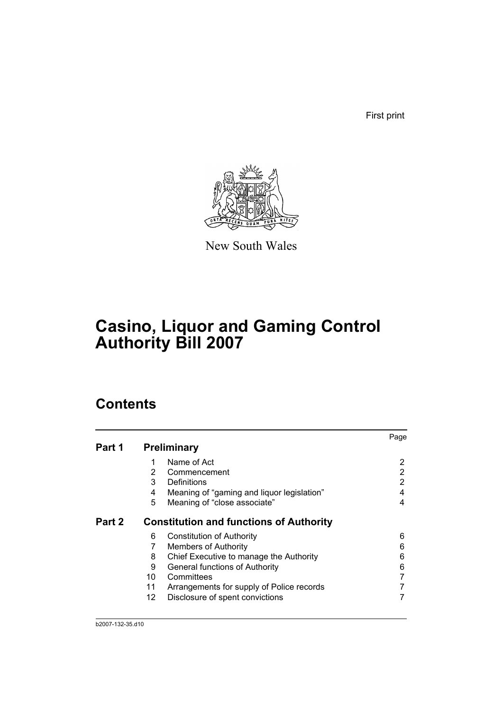First print



New South Wales

# **Casino, Liquor and Gaming Control Authority Bill 2007**

# **Contents**

|        |                 |                                                | Page |
|--------|-----------------|------------------------------------------------|------|
| Part 1 |                 | <b>Preliminary</b>                             |      |
|        |                 | Name of Act                                    | 2    |
|        | 2               | Commencement                                   | 2    |
|        | 3               | Definitions                                    | 2    |
|        | 4               | Meaning of "gaming and liquor legislation"     | 4    |
|        | 5               | Meaning of "close associate"                   | 4    |
| Part 2 |                 | <b>Constitution and functions of Authority</b> |      |
|        | 6               | <b>Constitution of Authority</b>               | 6    |
|        |                 | <b>Members of Authority</b>                    | 6    |
|        | 8               | Chief Executive to manage the Authority        | 6    |
|        | 9               | <b>General functions of Authority</b>          | 6    |
|        | 10              | Committees                                     |      |
|        | 11              | Arrangements for supply of Police records      |      |
|        | 12 <sup>2</sup> | Disclosure of spent convictions                |      |
|        |                 |                                                |      |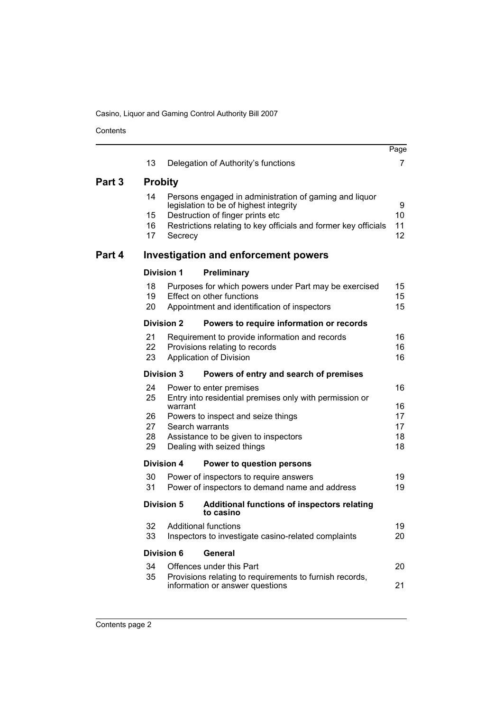Contents

|        | 13             |                   | Delegation of Authority's functions                                                                                                | Page<br>7      |
|--------|----------------|-------------------|------------------------------------------------------------------------------------------------------------------------------------|----------------|
|        |                |                   |                                                                                                                                    |                |
| Part 3 | <b>Probity</b> |                   |                                                                                                                                    |                |
|        | 14             |                   | Persons engaged in administration of gaming and liquor<br>legislation to be of highest integrity                                   | 9              |
|        | 15             |                   | Destruction of finger prints etc                                                                                                   | 10             |
|        | 16<br>17       | Secrecy           | Restrictions relating to key officials and former key officials                                                                    | 11<br>12       |
| Part 4 |                |                   | <b>Investigation and enforcement powers</b>                                                                                        |                |
|        |                | <b>Division 1</b> | Preliminary                                                                                                                        |                |
|        | 18<br>19<br>20 |                   | Purposes for which powers under Part may be exercised<br>Effect on other functions<br>Appointment and identification of inspectors | 15<br>15<br>15 |
|        |                | <b>Division 2</b> | Powers to require information or records                                                                                           |                |
|        | 21             |                   | Requirement to provide information and records                                                                                     | 16             |
|        | 22<br>23       |                   | Provisions relating to records<br>Application of Division                                                                          | 16<br>16       |
|        |                | <b>Division 3</b> | Powers of entry and search of premises                                                                                             |                |
|        | 24<br>25       | warrant           | Power to enter premises<br>Entry into residential premises only with permission or                                                 | 16<br>16       |
|        | 26             |                   | Powers to inspect and seize things                                                                                                 | 17             |
|        | 27<br>28       | Search warrants   | Assistance to be given to inspectors                                                                                               | 17<br>18       |
|        | 29             |                   | Dealing with seized things                                                                                                         | 18             |
|        |                | <b>Division 4</b> | Power to question persons                                                                                                          |                |
|        | 30             |                   | Power of inspectors to require answers                                                                                             | 19             |
|        | 31             |                   | Power of inspectors to demand name and address                                                                                     | 19             |
|        |                | <b>Division 5</b> | <b>Additional functions of inspectors relating</b><br>to casino                                                                    |                |
|        | 32<br>33       |                   | <b>Additional functions</b><br>Inspectors to investigate casino-related complaints                                                 | 19<br>20       |
|        |                | <b>Division 6</b> | <b>General</b>                                                                                                                     |                |
|        | 34             |                   | Offences under this Part                                                                                                           | 20             |
|        | 35             |                   | Provisions relating to requirements to furnish records,<br>information or answer questions                                         | 21             |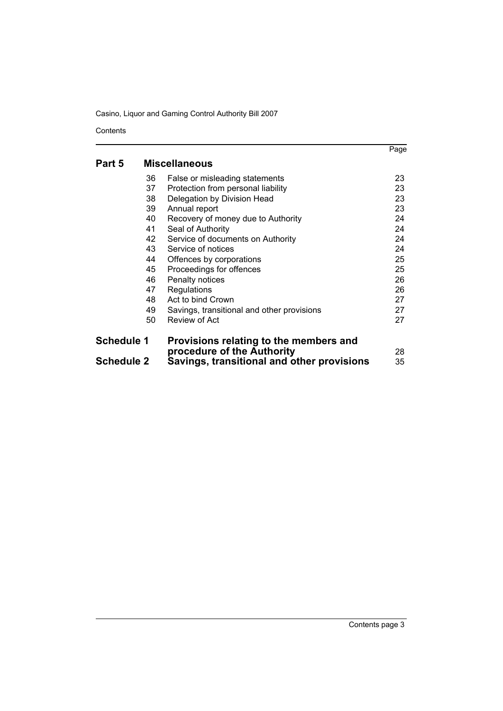Contents

|                   |    |                                            | Page |
|-------------------|----|--------------------------------------------|------|
| Part 5            |    | <b>Miscellaneous</b>                       |      |
|                   | 36 | False or misleading statements             | 23   |
|                   | 37 | Protection from personal liability         | 23   |
|                   | 38 | Delegation by Division Head                | 23   |
|                   | 39 | Annual report                              | 23   |
|                   | 40 | Recovery of money due to Authority         | 24   |
|                   | 41 | Seal of Authority                          | 24   |
|                   | 42 | Service of documents on Authority          | 24   |
|                   | 43 | Service of notices                         | 24   |
|                   | 44 | Offences by corporations                   | 25   |
|                   | 45 | Proceedings for offences                   | 25   |
|                   | 46 | Penalty notices                            | 26   |
|                   | 47 | Regulations                                | 26   |
|                   | 48 | Act to bind Crown                          | 27   |
|                   | 49 | Savings, transitional and other provisions | 27   |
|                   | 50 | Review of Act                              | 27   |
| <b>Schedule 1</b> |    | Provisions relating to the members and     |      |
|                   |    | procedure of the Authority                 | 28   |
| <b>Schedule 2</b> |    | Savings, transitional and other provisions | 35   |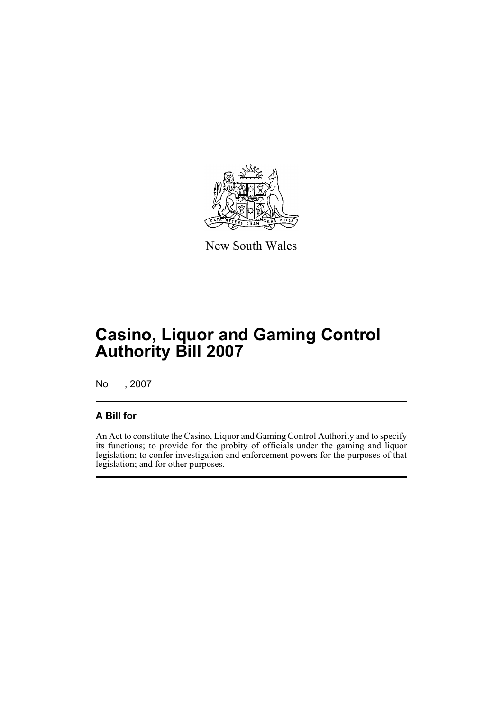

New South Wales

# **Casino, Liquor and Gaming Control Authority Bill 2007**

No , 2007

# **A Bill for**

An Act to constitute the Casino, Liquor and Gaming Control Authority and to specify its functions; to provide for the probity of officials under the gaming and liquor legislation; to confer investigation and enforcement powers for the purposes of that legislation; and for other purposes.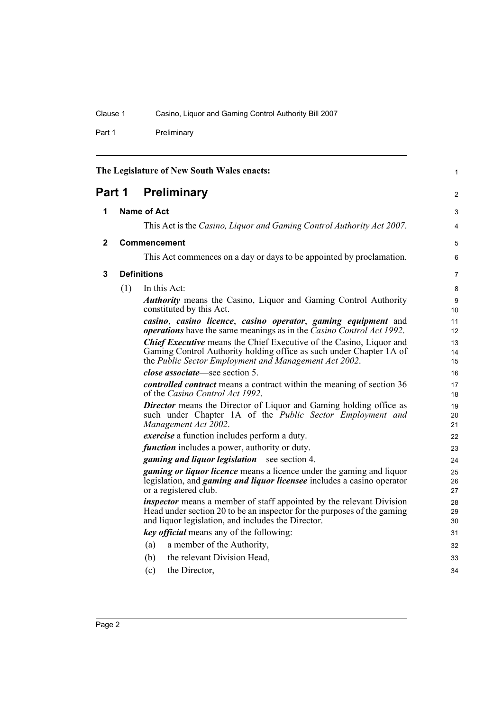Part 1 Preliminary

<span id="page-7-3"></span><span id="page-7-2"></span><span id="page-7-1"></span><span id="page-7-0"></span>

| The Legislature of New South Wales enacts: |                                                                                                                                                                                                            |                                                                                                                                                                                                              |                |
|--------------------------------------------|------------------------------------------------------------------------------------------------------------------------------------------------------------------------------------------------------------|--------------------------------------------------------------------------------------------------------------------------------------------------------------------------------------------------------------|----------------|
| Part 1                                     |                                                                                                                                                                                                            | <b>Preliminary</b>                                                                                                                                                                                           | 2              |
| 1                                          |                                                                                                                                                                                                            | <b>Name of Act</b>                                                                                                                                                                                           | 3              |
|                                            |                                                                                                                                                                                                            | This Act is the Casino, Liquor and Gaming Control Authority Act 2007.                                                                                                                                        | 4              |
| $\mathbf{2}$                               |                                                                                                                                                                                                            | Commencement                                                                                                                                                                                                 | 5              |
|                                            |                                                                                                                                                                                                            | This Act commences on a day or days to be appointed by proclamation.                                                                                                                                         | 6              |
| 3                                          |                                                                                                                                                                                                            | <b>Definitions</b>                                                                                                                                                                                           | $\overline{7}$ |
|                                            | (1)                                                                                                                                                                                                        | In this Act:                                                                                                                                                                                                 | 8              |
|                                            |                                                                                                                                                                                                            | <b>Authority</b> means the Casino, Liquor and Gaming Control Authority<br>constituted by this Act.                                                                                                           | 9<br>10        |
|                                            |                                                                                                                                                                                                            | casino, casino licence, casino operator, gaming equipment and<br><i>operations</i> have the same meanings as in the <i>Casino Control Act 1992</i> .                                                         | 11<br>12       |
|                                            | <b>Chief Executive</b> means the Chief Executive of the Casino, Liquor and<br>Gaming Control Authority holding office as such under Chapter 1A of<br>the Public Sector Employment and Management Act 2002. |                                                                                                                                                                                                              |                |
|                                            |                                                                                                                                                                                                            | <i>close associate</i> —see section 5.                                                                                                                                                                       | 16             |
|                                            |                                                                                                                                                                                                            | <i>controlled contract</i> means a contract within the meaning of section 36<br>of the Casino Control Act 1992.                                                                                              | 17<br>18       |
|                                            |                                                                                                                                                                                                            | <b>Director</b> means the Director of Liquor and Gaming holding office as<br>such under Chapter 1A of the Public Sector Employment and<br>Management Act 2002.                                               | 19<br>20<br>21 |
|                                            |                                                                                                                                                                                                            | <i>exercise</i> a function includes perform a duty.                                                                                                                                                          | 22             |
|                                            |                                                                                                                                                                                                            | <i>function</i> includes a power, authority or duty.                                                                                                                                                         | 23             |
|                                            |                                                                                                                                                                                                            | gaming and liquor legislation—see section 4.                                                                                                                                                                 | 24             |
|                                            | <i>gaming or liquor licence</i> means a licence under the gaming and liquor<br>legislation, and <i>gaming and liquor licensee</i> includes a casino operator<br>or a registered club.                      |                                                                                                                                                                                                              |                |
|                                            |                                                                                                                                                                                                            | <i>inspector</i> means a member of staff appointed by the relevant Division<br>Head under section 20 to be an inspector for the purposes of the gaming<br>and liquor legislation, and includes the Director. | 28<br>29<br>30 |
|                                            |                                                                                                                                                                                                            | key official means any of the following:                                                                                                                                                                     | 31             |
|                                            |                                                                                                                                                                                                            | a member of the Authority,<br>(a)                                                                                                                                                                            | 32             |
|                                            |                                                                                                                                                                                                            | the relevant Division Head,<br>(b)                                                                                                                                                                           | 33             |
|                                            |                                                                                                                                                                                                            | the Director,<br>(c)                                                                                                                                                                                         | 34             |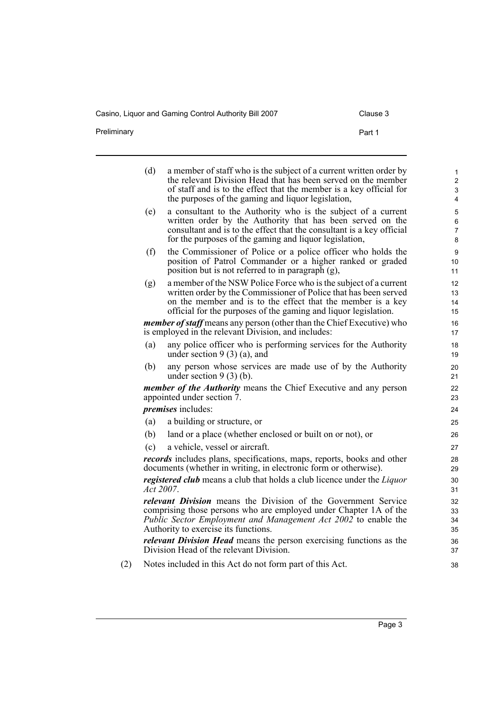Casino, Liquor and Gaming Control Authority Bill 2007 Clause 3

Preliminary **Preliminary** Part 1

|     | (d)       | a member of staff who is the subject of a current written order by<br>the relevant Division Head that has been served on the member<br>of staff and is to the effect that the member is a key official for<br>the purposes of the gaming and liquor legislation,       | 1<br>$\overline{2}$<br>3<br>4 |
|-----|-----------|------------------------------------------------------------------------------------------------------------------------------------------------------------------------------------------------------------------------------------------------------------------------|-------------------------------|
|     | (e)       | a consultant to the Authority who is the subject of a current<br>written order by the Authority that has been served on the<br>consultant and is to the effect that the consultant is a key official<br>for the purposes of the gaming and liquor legislation,         | 5<br>6<br>7<br>8              |
|     | (f)       | the Commissioner of Police or a police officer who holds the<br>position of Patrol Commander or a higher ranked or graded<br>position but is not referred to in paragraph (g),                                                                                         | 9<br>10<br>11                 |
|     | (g)       | a member of the NSW Police Force who is the subject of a current<br>written order by the Commissioner of Police that has been served<br>on the member and is to the effect that the member is a key<br>official for the purposes of the gaming and liquor legislation. | 12<br>13<br>14<br>15          |
|     |           | member of staff means any person (other than the Chief Executive) who<br>is employed in the relevant Division, and includes:                                                                                                                                           | 16<br>17                      |
|     | (a)       | any police officer who is performing services for the Authority<br>under section $9(3)(a)$ , and                                                                                                                                                                       | 18<br>19                      |
|     | (b)       | any person whose services are made use of by the Authority<br>under section $9(3)(b)$ .                                                                                                                                                                                | 20<br>21                      |
|     |           | <i>member of the Authority</i> means the Chief Executive and any person<br>appointed under section 7.                                                                                                                                                                  | 22<br>23                      |
|     |           | <i>premises</i> includes:                                                                                                                                                                                                                                              | 24                            |
|     | (a)       | a building or structure, or                                                                                                                                                                                                                                            | 25                            |
|     | (b)       | land or a place (whether enclosed or built on or not), or                                                                                                                                                                                                              | 26                            |
|     | (c)       | a vehicle, vessel or aircraft.                                                                                                                                                                                                                                         | 27                            |
|     |           | <i>records</i> includes plans, specifications, maps, reports, books and other<br>documents (whether in writing, in electronic form or otherwise).                                                                                                                      | 28<br>29                      |
|     | Act 2007. | registered club means a club that holds a club licence under the Liquor                                                                                                                                                                                                | 30<br>31                      |
|     |           | relevant Division means the Division of the Government Service<br>comprising those persons who are employed under Chapter 1A of the<br>Public Sector Employment and Management Act 2002 to enable the<br>Authority to exercise its functions.                          | 32<br>33<br>34<br>35          |
|     |           | <i>relevant Division Head</i> means the person exercising functions as the<br>Division Head of the relevant Division.                                                                                                                                                  | 36<br>37                      |
| (2) |           | Notes included in this Act do not form part of this Act.                                                                                                                                                                                                               | 38                            |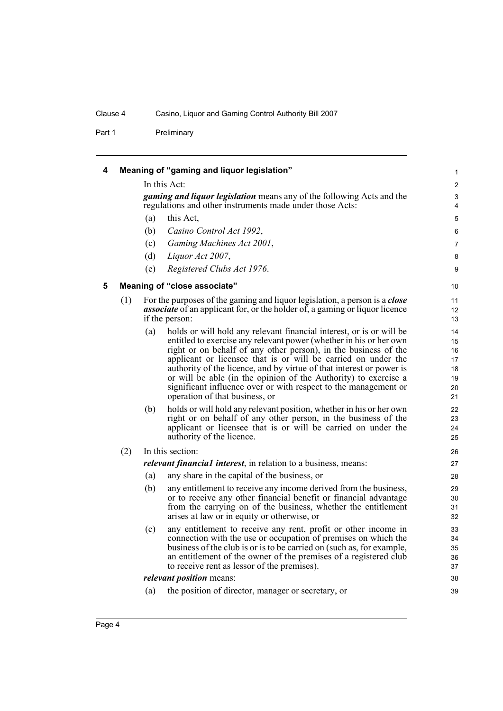Part 1 Preliminary

<span id="page-9-1"></span><span id="page-9-0"></span>

| 4 |     |     | Meaning of "gaming and liquor legislation"                                                                                                                                                                                                                                                                                                                                                                                                                                                                                     | 1                                            |
|---|-----|-----|--------------------------------------------------------------------------------------------------------------------------------------------------------------------------------------------------------------------------------------------------------------------------------------------------------------------------------------------------------------------------------------------------------------------------------------------------------------------------------------------------------------------------------|----------------------------------------------|
|   |     |     | In this Act:                                                                                                                                                                                                                                                                                                                                                                                                                                                                                                                   | $\sqrt{2}$                                   |
|   |     |     | <i>gaming and liquor legislation</i> means any of the following Acts and the<br>regulations and other instruments made under those Acts:                                                                                                                                                                                                                                                                                                                                                                                       | 3<br>4                                       |
|   |     | (a) | this Act,                                                                                                                                                                                                                                                                                                                                                                                                                                                                                                                      | $\mathbf 5$                                  |
|   |     | (b) | Casino Control Act 1992,                                                                                                                                                                                                                                                                                                                                                                                                                                                                                                       | 6                                            |
|   |     | (c) | Gaming Machines Act 2001,                                                                                                                                                                                                                                                                                                                                                                                                                                                                                                      | 7                                            |
|   |     | (d) | Liquor Act 2007,                                                                                                                                                                                                                                                                                                                                                                                                                                                                                                               | 8                                            |
|   |     | (e) | Registered Clubs Act 1976.                                                                                                                                                                                                                                                                                                                                                                                                                                                                                                     | 9                                            |
| 5 |     |     | Meaning of "close associate"                                                                                                                                                                                                                                                                                                                                                                                                                                                                                                   | 10                                           |
|   | (1) |     | For the purposes of the gaming and liquor legislation, a person is a <i>close</i><br><i>associate</i> of an applicant for, or the holder of, a gaming or liquor licence<br>if the person:                                                                                                                                                                                                                                                                                                                                      | 11<br>12<br>13                               |
|   |     | (a) | holds or will hold any relevant financial interest, or is or will be<br>entitled to exercise any relevant power (whether in his or her own<br>right or on behalf of any other person), in the business of the<br>applicant or licensee that is or will be carried on under the<br>authority of the licence, and by virtue of that interest or power is<br>or will be able (in the opinion of the Authority) to exercise a<br>significant influence over or with respect to the management or<br>operation of that business, or | 14<br>15<br>16<br>17<br>18<br>19<br>20<br>21 |
|   |     | (b) | holds or will hold any relevant position, whether in his or her own<br>right or on behalf of any other person, in the business of the<br>applicant or licensee that is or will be carried on under the<br>authority of the licence.                                                                                                                                                                                                                                                                                            | 22<br>23<br>24<br>25                         |
|   | (2) |     | In this section:                                                                                                                                                                                                                                                                                                                                                                                                                                                                                                               | 26                                           |
|   |     |     | relevant financial interest, in relation to a business, means:                                                                                                                                                                                                                                                                                                                                                                                                                                                                 | 27                                           |
|   |     | (a) | any share in the capital of the business, or                                                                                                                                                                                                                                                                                                                                                                                                                                                                                   | 28                                           |
|   |     | (b) | any entitlement to receive any income derived from the business,<br>or to receive any other financial benefit or financial advantage<br>from the carrying on of the business, whether the entitlement<br>arises at law or in equity or otherwise, or                                                                                                                                                                                                                                                                           | 29<br>30<br>31<br>32                         |
|   |     | (c) | any entitlement to receive any rent, profit or other income in<br>connection with the use or occupation of premises on which the<br>business of the club is or is to be carried on (such as, for example,<br>an entitlement of the owner of the premises of a registered club<br>to receive rent as lessor of the premises).                                                                                                                                                                                                   | 33<br>34<br>35<br>36<br>37                   |
|   |     |     | <i>relevant position</i> means:                                                                                                                                                                                                                                                                                                                                                                                                                                                                                                | 38                                           |
|   |     | (a) | the position of director, manager or secretary, or                                                                                                                                                                                                                                                                                                                                                                                                                                                                             | 39                                           |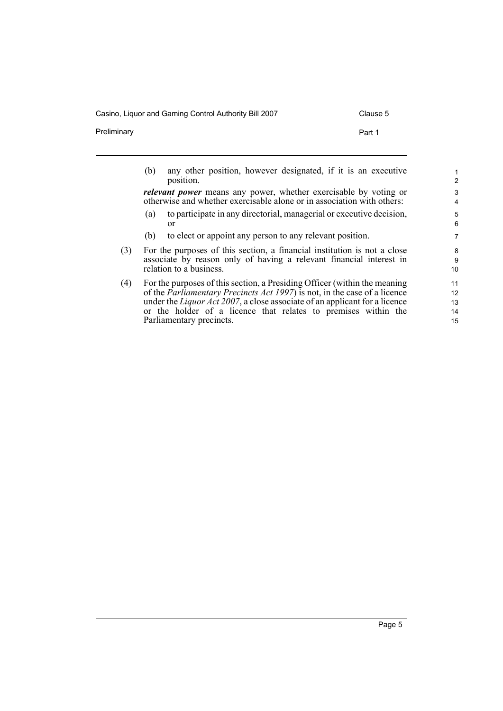Casino, Liquor and Gaming Control Authority Bill 2007 Clause 5

Parliamentary precincts.

Preliminary **Part 1** 

15

(b) any other position, however designated, if it is an executive position. *relevant power* means any power, whether exercisable by voting or otherwise and whether exercisable alone or in association with others: (a) to participate in any directorial, managerial or executive decision, or (b) to elect or appoint any person to any relevant position. (3) For the purposes of this section, a financial institution is not a close associate by reason only of having a relevant financial interest in relation to a business. (4) For the purposes of this section, a Presiding Officer (within the meaning of the *Parliamentary Precincts Act 1997*) is not, in the case of a licence under the *Liquor Act 2007*, a close associate of an applicant for a licence or the holder of a licence that relates to premises within the 1 2 3 4 5 6 7 8 9 10 11 12 13 14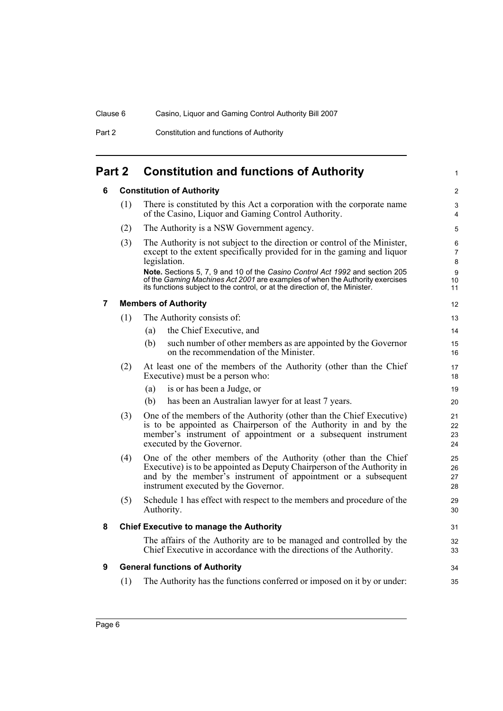Part 2 Constitution and functions of Authority

# <span id="page-11-1"></span><span id="page-11-0"></span>**Part 2 Constitution and functions of Authority**

# **6 Constitution of Authority**

<span id="page-11-4"></span><span id="page-11-3"></span><span id="page-11-2"></span>

|                | (1) | There is constituted by this Act a corporation with the corporate name<br>of the Casino, Liquor and Gaming Control Authority.                                                                                                                       | 3<br>4                       |
|----------------|-----|-----------------------------------------------------------------------------------------------------------------------------------------------------------------------------------------------------------------------------------------------------|------------------------------|
|                | (2) | The Authority is a NSW Government agency.                                                                                                                                                                                                           | 5                            |
|                | (3) | The Authority is not subject to the direction or control of the Minister,<br>except to the extent specifically provided for in the gaming and liquor<br>legislation.                                                                                | 6<br>7<br>$\bf 8$            |
|                |     | Note. Sections 5, 7, 9 and 10 of the Casino Control Act 1992 and section 205<br>of the Gaming Machines Act 2001 are examples of when the Authority exercises<br>its functions subject to the control, or at the direction of, the Minister.         | $\boldsymbol{9}$<br>10<br>11 |
| $\overline{7}$ |     | <b>Members of Authority</b>                                                                                                                                                                                                                         | 12                           |
|                | (1) | The Authority consists of:                                                                                                                                                                                                                          | 13                           |
|                |     | the Chief Executive, and<br>(a)                                                                                                                                                                                                                     | 14                           |
|                |     | such number of other members as are appointed by the Governor<br>(b)<br>on the recommendation of the Minister.                                                                                                                                      | 15<br>16                     |
|                | (2) | At least one of the members of the Authority (other than the Chief<br>Executive) must be a person who:                                                                                                                                              | 17<br>18                     |
|                |     | is or has been a Judge, or<br>(a)                                                                                                                                                                                                                   | 19                           |
|                |     | has been an Australian lawyer for at least 7 years.<br>(b)                                                                                                                                                                                          | 20                           |
|                | (3) | One of the members of the Authority (other than the Chief Executive)<br>is to be appointed as Chairperson of the Authority in and by the<br>member's instrument of appointment or a subsequent instrument<br>executed by the Governor.              | 21<br>22<br>23<br>24         |
|                | (4) | One of the other members of the Authority (other than the Chief<br>Executive) is to be appointed as Deputy Chairperson of the Authority in<br>and by the member's instrument of appointment or a subsequent<br>instrument executed by the Governor. | 25<br>26<br>27<br>28         |
|                | (5) | Schedule 1 has effect with respect to the members and procedure of the<br>Authority.                                                                                                                                                                | 29<br>30                     |
| 8              |     | <b>Chief Executive to manage the Authority</b>                                                                                                                                                                                                      | 31                           |
|                |     | The affairs of the Authority are to be managed and controlled by the<br>Chief Executive in accordance with the directions of the Authority.                                                                                                         | 32<br>33                     |
| 9              |     | <b>General functions of Authority</b>                                                                                                                                                                                                               | 34                           |
|                | (1) | The Authority has the functions conferred or imposed on it by or under:                                                                                                                                                                             | 35                           |
|                |     |                                                                                                                                                                                                                                                     |                              |

1

2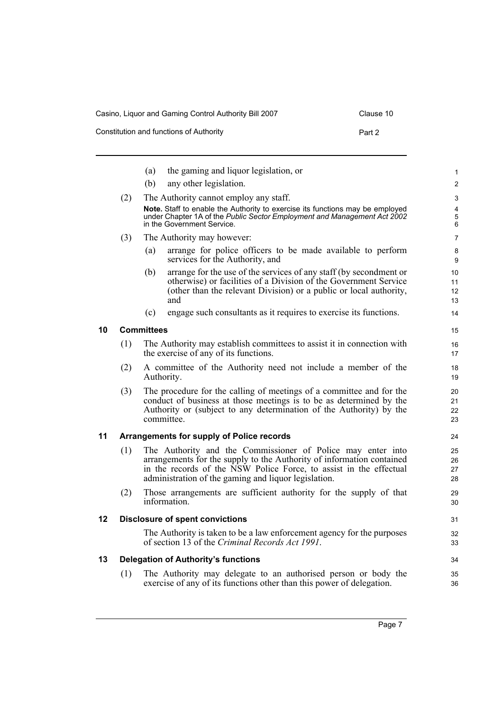| Casino, Liquor and Gaming Control Authority Bill 2007 | Clause 10 |
|-------------------------------------------------------|-----------|
| Constitution and functions of Authority               | Part 2    |

<span id="page-12-3"></span><span id="page-12-2"></span><span id="page-12-1"></span><span id="page-12-0"></span>

|    |     | the gaming and liquor legislation, or<br>(a)                                                                                                                                                                                                                       | 1                    |
|----|-----|--------------------------------------------------------------------------------------------------------------------------------------------------------------------------------------------------------------------------------------------------------------------|----------------------|
|    |     | any other legislation.<br>(b)                                                                                                                                                                                                                                      | $\overline{c}$       |
|    | (2) | The Authority cannot employ any staff.                                                                                                                                                                                                                             | 3                    |
|    |     | Note. Staff to enable the Authority to exercise its functions may be employed<br>under Chapter 1A of the Public Sector Employment and Management Act 2002<br>in the Government Service.                                                                            | 4<br>5<br>6          |
|    | (3) | The Authority may however:                                                                                                                                                                                                                                         | 7                    |
|    |     | arrange for police officers to be made available to perform<br>(a)<br>services for the Authority, and                                                                                                                                                              | 8<br>9               |
|    |     | arrange for the use of the services of any staff (by second ment or<br>(b)<br>otherwise) or facilities of a Division of the Government Service<br>(other than the relevant Division) or a public or local authority,<br>and                                        | 10<br>11<br>12<br>13 |
|    |     | (c)<br>engage such consultants as it requires to exercise its functions.                                                                                                                                                                                           | 14                   |
| 10 |     | <b>Committees</b>                                                                                                                                                                                                                                                  | 15                   |
|    | (1) | The Authority may establish committees to assist it in connection with<br>the exercise of any of its functions.                                                                                                                                                    | 16<br>17             |
|    | (2) | A committee of the Authority need not include a member of the<br>Authority.                                                                                                                                                                                        | 18<br>19             |
|    | (3) | The procedure for the calling of meetings of a committee and for the<br>conduct of business at those meetings is to be as determined by the<br>Authority or (subject to any determination of the Authority) by the<br>committee.                                   | 20<br>21<br>22<br>23 |
| 11 |     | <b>Arrangements for supply of Police records</b>                                                                                                                                                                                                                   | 24                   |
|    | (1) | The Authority and the Commissioner of Police may enter into<br>arrangements for the supply to the Authority of information contained<br>in the records of the NSW Police Force, to assist in the effectual<br>administration of the gaming and liquor legislation. | 25<br>26<br>27<br>28 |
|    | (2) | Those arrangements are sufficient authority for the supply of that<br>information.                                                                                                                                                                                 | 29<br>30             |
| 12 |     | <b>Disclosure of spent convictions</b>                                                                                                                                                                                                                             | 31                   |
|    |     | The Authority is taken to be a law enforcement agency for the purposes<br>of section 13 of the Criminal Records Act 1991.                                                                                                                                          | 32<br>33             |
| 13 |     | <b>Delegation of Authority's functions</b>                                                                                                                                                                                                                         | 34                   |
|    | (1) | The Authority may delegate to an authorised person or body the<br>exercise of any of its functions other than this power of delegation.                                                                                                                            | 35<br>36             |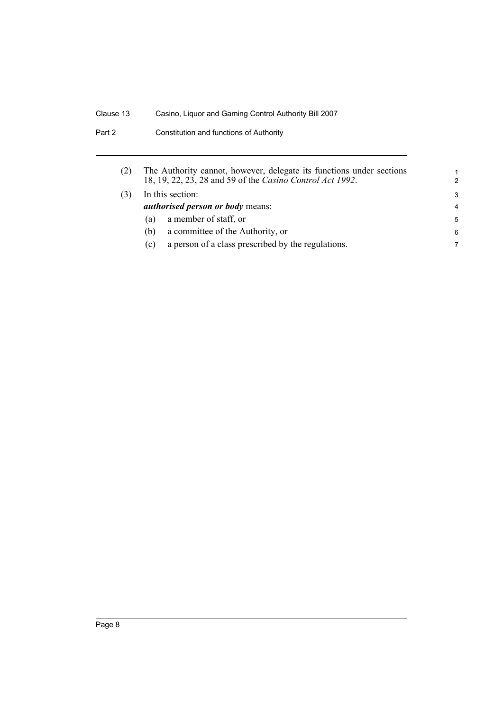|                                         | The Authority cannot, however, delegate its functions under sections<br>18, 19, 22, 23, 28 and 59 of the Casino Control Act 1992. | 1<br>$\mathcal{P}$ |
|-----------------------------------------|-----------------------------------------------------------------------------------------------------------------------------------|--------------------|
|                                         | In this section:                                                                                                                  | 3                  |
| <i>authorised person or body means:</i> | 4                                                                                                                                 |                    |
| (a)                                     | a member of staff, or                                                                                                             | 5                  |
| (b)                                     | a committee of the Authority, or                                                                                                  | 6                  |
| (c)                                     | a person of a class prescribed by the regulations.                                                                                | 7                  |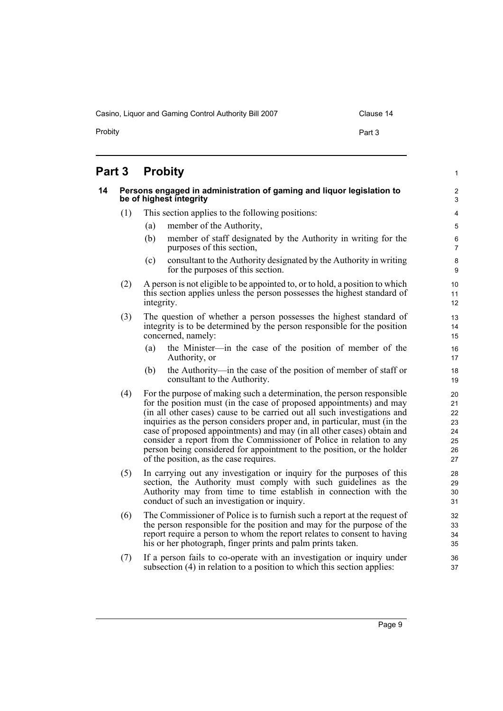Casino, Liquor and Gaming Control Authority Bill 2007 Clause 14

1

# <span id="page-14-0"></span>**Part 3 Probity**

<span id="page-14-1"></span>

| 14 | Persons engaged in administration of gaming and liquor legislation to<br>be of highest integrity |                                                                                                                                                                                                                                                                                                                                                                                                                                                                                                                                                                               |                                              |  |  |
|----|--------------------------------------------------------------------------------------------------|-------------------------------------------------------------------------------------------------------------------------------------------------------------------------------------------------------------------------------------------------------------------------------------------------------------------------------------------------------------------------------------------------------------------------------------------------------------------------------------------------------------------------------------------------------------------------------|----------------------------------------------|--|--|
|    | (1)                                                                                              | This section applies to the following positions:                                                                                                                                                                                                                                                                                                                                                                                                                                                                                                                              | 4                                            |  |  |
|    |                                                                                                  | member of the Authority,<br>(a)                                                                                                                                                                                                                                                                                                                                                                                                                                                                                                                                               | 5                                            |  |  |
|    |                                                                                                  | (b)<br>member of staff designated by the Authority in writing for the<br>purposes of this section,                                                                                                                                                                                                                                                                                                                                                                                                                                                                            | 6<br>$\overline{7}$                          |  |  |
|    |                                                                                                  | consultant to the Authority designated by the Authority in writing<br>(c)<br>for the purposes of this section.                                                                                                                                                                                                                                                                                                                                                                                                                                                                | 8<br>9                                       |  |  |
|    | (2)                                                                                              | A person is not eligible to be appointed to, or to hold, a position to which<br>this section applies unless the person possesses the highest standard of<br>integrity.                                                                                                                                                                                                                                                                                                                                                                                                        | 10<br>11<br>12                               |  |  |
|    | (3)                                                                                              | The question of whether a person possesses the highest standard of<br>integrity is to be determined by the person responsible for the position<br>concerned, namely:                                                                                                                                                                                                                                                                                                                                                                                                          | 13<br>14<br>15                               |  |  |
|    |                                                                                                  | the Minister—in the case of the position of member of the<br>(a)<br>Authority, or                                                                                                                                                                                                                                                                                                                                                                                                                                                                                             | 16<br>17                                     |  |  |
|    |                                                                                                  | the Authority—in the case of the position of member of staff or<br>(b)<br>consultant to the Authority.                                                                                                                                                                                                                                                                                                                                                                                                                                                                        | 18<br>19                                     |  |  |
|    | (4)                                                                                              | For the purpose of making such a determination, the person responsible<br>for the position must (in the case of proposed appointments) and may<br>(in all other cases) cause to be carried out all such investigations and<br>inquiries as the person considers proper and, in particular, must (in the<br>case of proposed appointments) and may (in all other cases) obtain and<br>consider a report from the Commissioner of Police in relation to any<br>person being considered for appointment to the position, or the holder<br>of the position, as the case requires. | 20<br>21<br>22<br>23<br>24<br>25<br>26<br>27 |  |  |
|    | (5)                                                                                              | In carrying out any investigation or inquiry for the purposes of this<br>section, the Authority must comply with such guidelines as the<br>Authority may from time to time establish in connection with the<br>conduct of such an investigation or inquiry.                                                                                                                                                                                                                                                                                                                   | 28<br>29<br>30<br>31                         |  |  |
|    | (6)                                                                                              | The Commissioner of Police is to furnish such a report at the request of<br>the person responsible for the position and may for the purpose of the<br>report require a person to whom the report relates to consent to having<br>his or her photograph, finger prints and palm prints taken.                                                                                                                                                                                                                                                                                  | 32<br>33<br>34<br>35                         |  |  |
|    | (7)                                                                                              | If a person fails to co-operate with an investigation or inquiry under<br>subsection (4) in relation to a position to which this section applies:                                                                                                                                                                                                                                                                                                                                                                                                                             | 36<br>37                                     |  |  |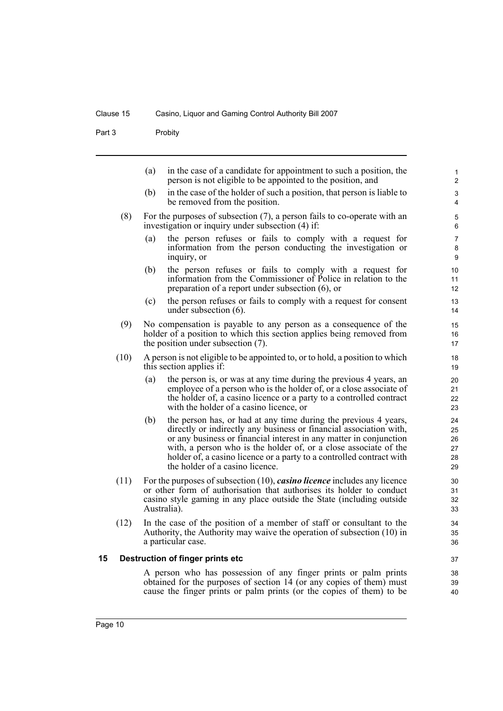Part 3 Probity

(a) in the case of a candidate for appointment to such a position, the person is not eligible to be appointed to the position, and (b) in the case of the holder of such a position, that person is liable to be removed from the position. (8) For the purposes of subsection (7), a person fails to co-operate with an investigation or inquiry under subsection (4) if: (a) the person refuses or fails to comply with a request for information from the person conducting the investigation or inquiry, or (b) the person refuses or fails to comply with a request for information from the Commissioner of Police in relation to the preparation of a report under subsection (6), or (c) the person refuses or fails to comply with a request for consent under subsection (6). (9) No compensation is payable to any person as a consequence of the holder of a position to which this section applies being removed from the position under subsection (7). (10) A person is not eligible to be appointed to, or to hold, a position to which this section applies if: (a) the person is, or was at any time during the previous 4 years, an employee of a person who is the holder of, or a close associate of the holder of, a casino licence or a party to a controlled contract with the holder of a casino licence, or (b) the person has, or had at any time during the previous 4 years, directly or indirectly any business or financial association with, or any business or financial interest in any matter in conjunction with, a person who is the holder of, or a close associate of the holder of, a casino licence or a party to a controlled contract with the holder of a casino licence. (11) For the purposes of subsection (10), *casino licence* includes any licence or other form of authorisation that authorises its holder to conduct casino style gaming in any place outside the State (including outside Australia). (12) In the case of the position of a member of staff or consultant to the Authority, the Authority may waive the operation of subsection (10) in a particular case. **15 Destruction of finger prints etc** A person who has possession of any finger prints or palm prints obtained for the purposes of section 14 (or any copies of them) must 1 2  $\overline{a}$ 4 5 6 7 8 9 10 11 12 13 14 15 16 17 18 19 20 21 22 23 24 25 26 27 28 29 30 31 32 33 34 35 36 37 38 39

<span id="page-15-0"></span>cause the finger prints or palm prints (or the copies of them) to be

40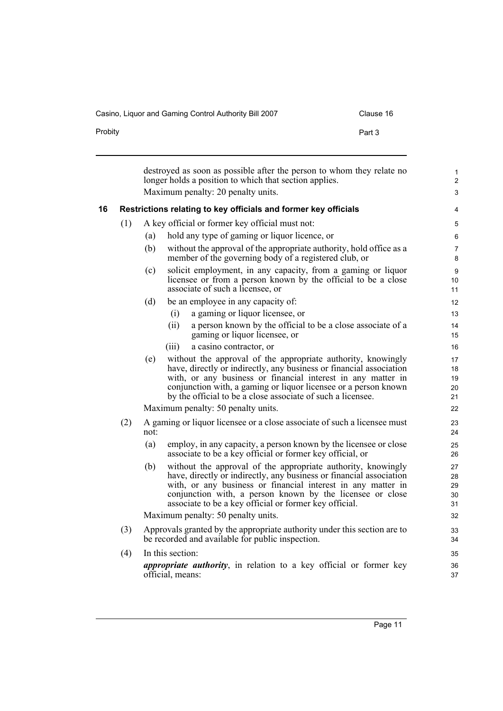Casino, Liquor and Gaming Control Authority Bill 2007 Clause 16

Probity **Probity Probity Part 3** 

<span id="page-16-0"></span>

|    |     |      | destroyed as soon as possible after the person to whom they relate no<br>longer holds a position to which that section applies.<br>Maximum penalty: 20 penalty units.                                                                                                                                                                 | $\mathbf{1}$<br>$\overline{2}$<br>3 |
|----|-----|------|---------------------------------------------------------------------------------------------------------------------------------------------------------------------------------------------------------------------------------------------------------------------------------------------------------------------------------------|-------------------------------------|
| 16 |     |      | Restrictions relating to key officials and former key officials                                                                                                                                                                                                                                                                       | 4                                   |
|    | (1) |      | A key official or former key official must not:                                                                                                                                                                                                                                                                                       | 5                                   |
|    |     | (a)  | hold any type of gaming or liquor licence, or                                                                                                                                                                                                                                                                                         | 6                                   |
|    |     | (b)  | without the approval of the appropriate authority, hold office as a<br>member of the governing body of a registered club, or                                                                                                                                                                                                          | 7<br>8                              |
|    |     | (c)  | solicit employment, in any capacity, from a gaming or liquor<br>licensee or from a person known by the official to be a close<br>associate of such a licensee, or                                                                                                                                                                     | 9<br>10<br>11                       |
|    |     | (d)  | be an employee in any capacity of:                                                                                                                                                                                                                                                                                                    | 12                                  |
|    |     |      | a gaming or liquor licensee, or<br>(i)                                                                                                                                                                                                                                                                                                | 13                                  |
|    |     |      | a person known by the official to be a close associate of a<br>(ii)<br>gaming or liquor licensee, or                                                                                                                                                                                                                                  | 14<br>15                            |
|    |     |      | a casino contractor, or<br>(111)                                                                                                                                                                                                                                                                                                      | 16                                  |
|    |     | (e)  | without the approval of the appropriate authority, knowingly<br>have, directly or indirectly, any business or financial association<br>with, or any business or financial interest in any matter in<br>conjunction with, a gaming or liquor licensee or a person known<br>by the official to be a close associate of such a licensee. | 17<br>18<br>19<br>20<br>21          |
|    |     |      | Maximum penalty: 50 penalty units.                                                                                                                                                                                                                                                                                                    | 22                                  |
|    | (2) | not: | A gaming or liquor licensee or a close associate of such a licensee must                                                                                                                                                                                                                                                              | 23<br>24                            |
|    |     | (a)  | employ, in any capacity, a person known by the licensee or close<br>associate to be a key official or former key official, or                                                                                                                                                                                                         | 25<br>26                            |
|    |     | (b)  | without the approval of the appropriate authority, knowingly<br>have, directly or indirectly, any business or financial association<br>with, or any business or financial interest in any matter in<br>conjunction with, a person known by the licensee or close<br>associate to be a key official or former key official.            | 27<br>28<br>29<br>30<br>31          |
|    |     |      | Maximum penalty: 50 penalty units.                                                                                                                                                                                                                                                                                                    | 32                                  |
|    | (3) |      | Approvals granted by the appropriate authority under this section are to<br>be recorded and available for public inspection.                                                                                                                                                                                                          | 33<br>34                            |
|    | (4) |      | In this section:                                                                                                                                                                                                                                                                                                                      | 35                                  |
|    |     |      | <i>appropriate authority</i> , in relation to a key official or former key<br>official, means:                                                                                                                                                                                                                                        | 36<br>37                            |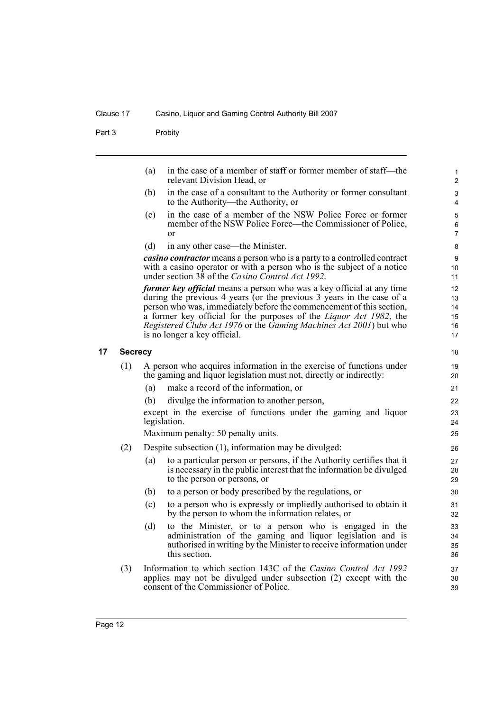Part 3 Probity

- (a) in the case of a member of staff or former member of staff—the relevant Division Head, or
- (b) in the case of a consultant to the Authority or former consultant to the Authority—the Authority, or

- (c) in the case of a member of the NSW Police Force or former member of the NSW Police Force—the Commissioner of Police, or
- (d) in any other case—the Minister.

*casino contractor* means a person who is a party to a controlled contract with a casino operator or with a person who is the subject of a notice under section 38 of the *Casino Control Act 1992*.

*former key official* means a person who was a key official at any time during the previous 4 years (or the previous 3 years in the case of a person who was, immediately before the commencement of this section, a former key official for the purposes of the *Liquor Act 1982*, the *Registered Clubs Act 1976* or the *Gaming Machines Act 2001*) but who is no longer a key official.

## <span id="page-17-0"></span>**17 Secrecy**

- (1) A person who acquires information in the exercise of functions under the gaming and liquor legislation must not, directly or indirectly:
	- (a) make a record of the information, or
	- (b) divulge the information to another person,

except in the exercise of functions under the gaming and liquor legislation.

Maximum penalty: 50 penalty units.

- (2) Despite subsection (1), information may be divulged:
	- (a) to a particular person or persons, if the Authority certifies that it is necessary in the public interest that the information be divulged to the person or persons, or
	- (b) to a person or body prescribed by the regulations, or
	- (c) to a person who is expressly or impliedly authorised to obtain it by the person to whom the information relates, or
	- (d) to the Minister, or to a person who is engaged in the administration of the gaming and liquor legislation and is authorised in writing by the Minister to receive information under this section.
- (3) Information to which section 143C of the *Casino Control Act 1992* applies may not be divulged under subsection (2) except with the consent of the Commissioner of Police.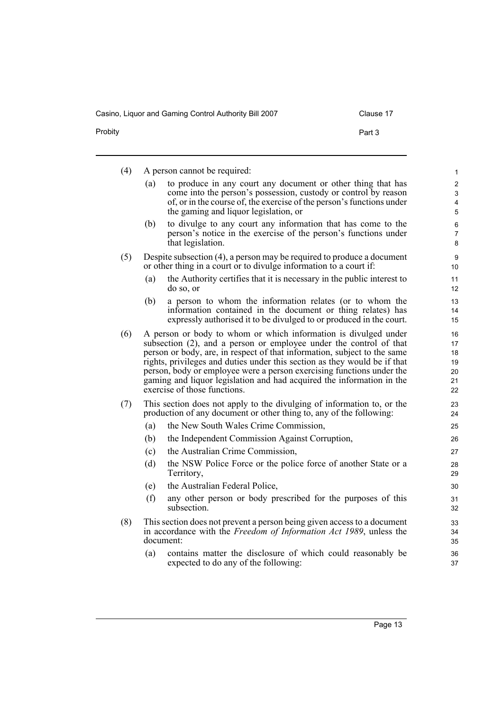| Clause ∶ |  |
|----------|--|
|----------|--|

| Probity | Part 3 |
|---------|--------|
|         |        |

| (4) |     | A person cannot be required:                                                                                                                                                                                                                                                                                                                                                                                                                                                     | $\mathbf{1}$                                     |
|-----|-----|----------------------------------------------------------------------------------------------------------------------------------------------------------------------------------------------------------------------------------------------------------------------------------------------------------------------------------------------------------------------------------------------------------------------------------------------------------------------------------|--------------------------------------------------|
|     | (a) | to produce in any court any document or other thing that has<br>come into the person's possession, custody or control by reason<br>of, or in the course of, the exercise of the person's functions under<br>the gaming and liquor legislation, or                                                                                                                                                                                                                                | 2<br>3<br>$\overline{\mathbf{4}}$<br>$\mathbf 5$ |
|     | (b) | to divulge to any court any information that has come to the<br>person's notice in the exercise of the person's functions under<br>that legislation.                                                                                                                                                                                                                                                                                                                             | $\,6\,$<br>$\overline{7}$<br>8                   |
| (5) |     | Despite subsection (4), a person may be required to produce a document<br>or other thing in a court or to divulge information to a court if:                                                                                                                                                                                                                                                                                                                                     | $\boldsymbol{9}$<br>10                           |
|     | (a) | the Authority certifies that it is necessary in the public interest to<br>do so, or                                                                                                                                                                                                                                                                                                                                                                                              | 11<br>12                                         |
|     | (b) | a person to whom the information relates (or to whom the<br>information contained in the document or thing relates) has<br>expressly authorised it to be divulged to or produced in the court.                                                                                                                                                                                                                                                                                   | 13<br>14<br>15                                   |
| (6) |     | A person or body to whom or which information is divulged under<br>subsection (2), and a person or employee under the control of that<br>person or body, are, in respect of that information, subject to the same<br>rights, privileges and duties under this section as they would be if that<br>person, body or employee were a person exercising functions under the<br>gaming and liquor legislation and had acquired the information in the<br>exercise of those functions. | 16<br>17<br>18<br>19<br>20<br>21<br>22           |
| (7) |     | This section does not apply to the divulging of information to, or the<br>production of any document or other thing to, any of the following:                                                                                                                                                                                                                                                                                                                                    | 23<br>24                                         |
|     | (a) | the New South Wales Crime Commission,                                                                                                                                                                                                                                                                                                                                                                                                                                            | 25                                               |
|     | (b) | the Independent Commission Against Corruption,                                                                                                                                                                                                                                                                                                                                                                                                                                   | 26                                               |
|     | (c) | the Australian Crime Commission,                                                                                                                                                                                                                                                                                                                                                                                                                                                 | 27                                               |
|     | (d) | the NSW Police Force or the police force of another State or a<br>Territory,                                                                                                                                                                                                                                                                                                                                                                                                     | 28<br>29                                         |
|     | (e) | the Australian Federal Police,                                                                                                                                                                                                                                                                                                                                                                                                                                                   | 30                                               |
|     | (f) | any other person or body prescribed for the purposes of this<br>subsection.                                                                                                                                                                                                                                                                                                                                                                                                      | 31<br>32                                         |
| (8) |     | This section does not prevent a person being given access to a document<br>in accordance with the Freedom of Information Act 1989, unless the<br>document:                                                                                                                                                                                                                                                                                                                       | 33<br>34<br>35                                   |
|     | (a) | contains matter the disclosure of which could reasonably be<br>expected to do any of the following:                                                                                                                                                                                                                                                                                                                                                                              | 36<br>37                                         |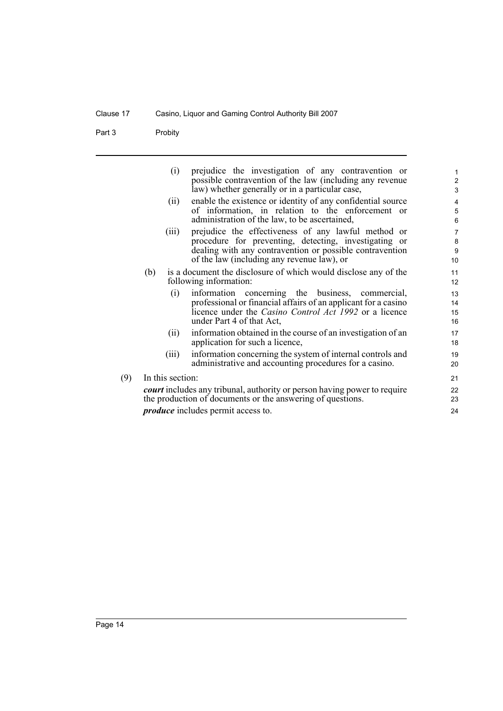Part 3 Probity

 $(9)$ 

| (i)              | prejudice the investigation of any contravention or<br>possible contravention of the law (including any revenue                 | 1              |
|------------------|---------------------------------------------------------------------------------------------------------------------------------|----------------|
|                  | law) whether generally or in a particular case,                                                                                 | $\frac{2}{3}$  |
| (ii)             | enable the existence or identity of any confidential source                                                                     | 4              |
|                  | of information, in relation to the enforcement or                                                                               | 5              |
|                  | administration of the law, to be ascertained,                                                                                   | $6\phantom{a}$ |
| (iii)            | prejudice the effectiveness of any lawful method or                                                                             | $\overline{7}$ |
|                  | procedure for preventing, detecting, investigating or                                                                           | 8              |
|                  | dealing with any contravention or possible contravention                                                                        | $\overline{9}$ |
|                  | of the law (including any revenue law), or                                                                                      | 10             |
| (b)              | is a document the disclosure of which would disclose any of the                                                                 | 11             |
|                  | following information:                                                                                                          | 12             |
| (i)              | information concerning the business, commercial,                                                                                | 13             |
|                  | professional or financial affairs of an applicant for a casino<br>licence under the <i>Casino Control Act 1992</i> or a licence | 14             |
|                  | under Part 4 of that Act,                                                                                                       | 15<br>16       |
|                  | information obtained in the course of an investigation of an                                                                    | 17             |
| (ii)             | application for such a licence,                                                                                                 | 18             |
| (iii)            | information concerning the system of internal controls and                                                                      | 19             |
|                  | administrative and accounting procedures for a casino.                                                                          | 20             |
|                  |                                                                                                                                 |                |
| In this section: |                                                                                                                                 | 21             |
|                  | <i>court</i> includes any tribunal, authority or person having power to require                                                 | 22             |
|                  | the production of documents or the answering of questions.                                                                      | 23             |
|                  | <i>produce</i> includes permit access to.                                                                                       | 24             |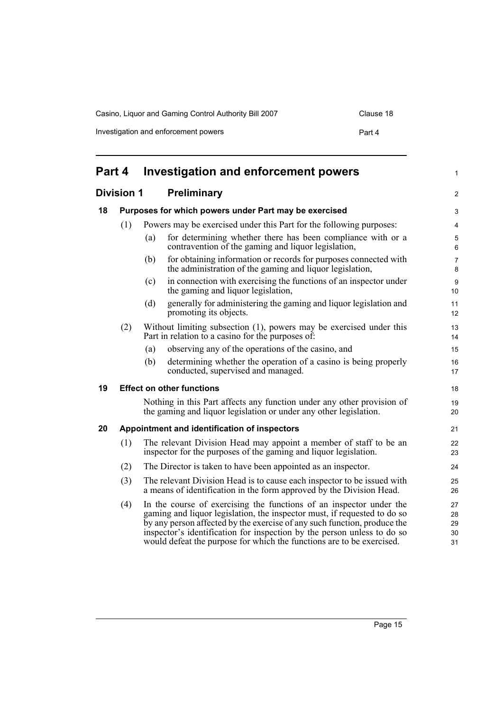Casino, Liquor and Gaming Control Authority Bill 2007 Clause 18

Investigation and enforcement powers **Part 4** 

<span id="page-20-4"></span><span id="page-20-3"></span><span id="page-20-2"></span><span id="page-20-1"></span><span id="page-20-0"></span>

| Part 4<br><b>Investigation and enforcement powers</b> |                                                       |     | $\mathbf{1}$                                                                                                                                                                                                                                                                                                                                                                    |                            |
|-------------------------------------------------------|-------------------------------------------------------|-----|---------------------------------------------------------------------------------------------------------------------------------------------------------------------------------------------------------------------------------------------------------------------------------------------------------------------------------------------------------------------------------|----------------------------|
| <b>Division 1</b><br><b>Preliminary</b>               |                                                       |     |                                                                                                                                                                                                                                                                                                                                                                                 | 2                          |
| 18                                                    | Purposes for which powers under Part may be exercised |     |                                                                                                                                                                                                                                                                                                                                                                                 | 3                          |
|                                                       | (1)                                                   |     | Powers may be exercised under this Part for the following purposes:                                                                                                                                                                                                                                                                                                             | 4                          |
|                                                       |                                                       | (a) | for determining whether there has been compliance with or a<br>contravention of the gaming and liquor legislation,                                                                                                                                                                                                                                                              | 5<br>$\,6\,$               |
|                                                       |                                                       | (b) | for obtaining information or records for purposes connected with<br>the administration of the gaming and liquor legislation,                                                                                                                                                                                                                                                    | $\overline{7}$<br>8        |
|                                                       |                                                       | (c) | in connection with exercising the functions of an inspector under<br>the gaming and liquor legislation,                                                                                                                                                                                                                                                                         | 9<br>10                    |
|                                                       |                                                       | (d) | generally for administering the gaming and liquor legislation and<br>promoting its objects.                                                                                                                                                                                                                                                                                     | 11<br>12                   |
|                                                       | (2)                                                   |     | Without limiting subsection (1), powers may be exercised under this<br>Part in relation to a casino for the purposes of:                                                                                                                                                                                                                                                        | 13<br>14                   |
|                                                       |                                                       | (a) | observing any of the operations of the casino, and                                                                                                                                                                                                                                                                                                                              | 15                         |
|                                                       |                                                       | (b) | determining whether the operation of a casino is being properly<br>conducted, supervised and managed.                                                                                                                                                                                                                                                                           | 16<br>17                   |
| 19                                                    |                                                       |     | <b>Effect on other functions</b>                                                                                                                                                                                                                                                                                                                                                | 18                         |
|                                                       |                                                       |     | Nothing in this Part affects any function under any other provision of<br>the gaming and liquor legislation or under any other legislation.                                                                                                                                                                                                                                     | 19<br>20                   |
| 20                                                    |                                                       |     | Appointment and identification of inspectors                                                                                                                                                                                                                                                                                                                                    | 21                         |
|                                                       | (1)                                                   |     | The relevant Division Head may appoint a member of staff to be an<br>inspector for the purposes of the gaming and liquor legislation.                                                                                                                                                                                                                                           | 22<br>23                   |
|                                                       | (2)                                                   |     | The Director is taken to have been appointed as an inspector.                                                                                                                                                                                                                                                                                                                   | 24                         |
|                                                       | (3)                                                   |     | The relevant Division Head is to cause each inspector to be issued with<br>a means of identification in the form approved by the Division Head.                                                                                                                                                                                                                                 | 25<br>26                   |
|                                                       | (4)                                                   |     | In the course of exercising the functions of an inspector under the<br>gaming and liquor legislation, the inspector must, if requested to do so<br>by any person affected by the exercise of any such function, produce the<br>inspector's identification for inspection by the person unless to do so<br>would defeat the purpose for which the functions are to be exercised. | 27<br>28<br>29<br>30<br>31 |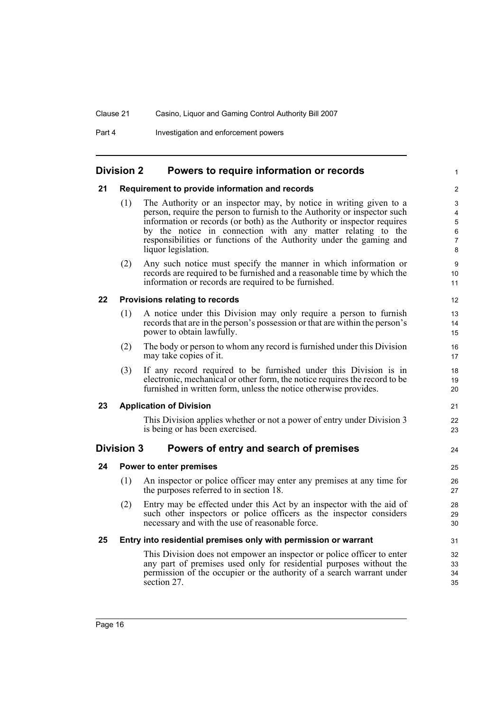Part 4 **Investigation and enforcement powers** 

# <span id="page-21-0"></span>**Division 2 Powers to require information or records**

## <span id="page-21-1"></span>**21 Requirement to provide information and records**

(1) The Authority or an inspector may, by notice in writing given to a person, require the person to furnish to the Authority or inspector such information or records (or both) as the Authority or inspector requires by the notice in connection with any matter relating to the responsibilities or functions of the Authority under the gaming and liquor legislation.

1

21 22 23

24

(2) Any such notice must specify the manner in which information or records are required to be furnished and a reasonable time by which the information or records are required to be furnished.

## <span id="page-21-2"></span>**22 Provisions relating to records**

- (1) A notice under this Division may only require a person to furnish records that are in the person's possession or that are within the person's power to obtain lawfully.
- (2) The body or person to whom any record is furnished under this Division may take copies of it.
- (3) If any record required to be furnished under this Division is in electronic, mechanical or other form, the notice requires the record to be furnished in written form, unless the notice otherwise provides.

## <span id="page-21-3"></span>**23 Application of Division**

This Division applies whether or not a power of entry under Division 3 is being or has been exercised.

# <span id="page-21-4"></span>**Division 3 Powers of entry and search of premises**

# <span id="page-21-5"></span>**24 Power to enter premises**

- (1) An inspector or police officer may enter any premises at any time for the purposes referred to in section 18.
- (2) Entry may be effected under this Act by an inspector with the aid of such other inspectors or police officers as the inspector considers necessary and with the use of reasonable force.

## <span id="page-21-6"></span>**25 Entry into residential premises only with permission or warrant**

This Division does not empower an inspector or police officer to enter any part of premises used only for residential purposes without the permission of the occupier or the authority of a search warrant under section 27.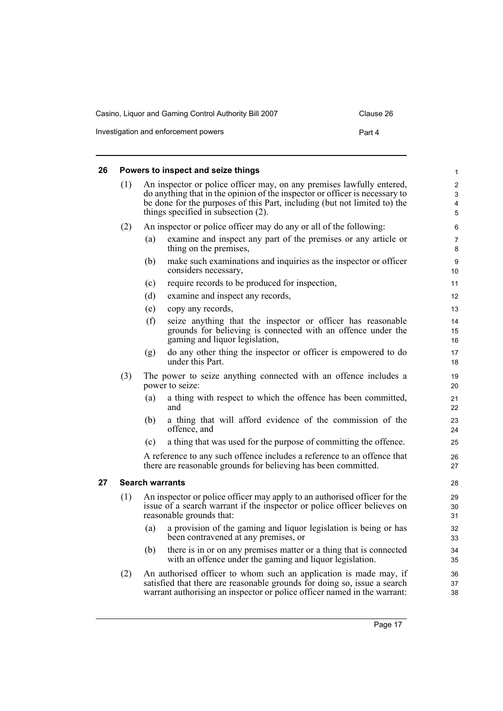| Casino, Liguor and Gaming Control Authority Bill 2007 |        |  |  |  |
|-------------------------------------------------------|--------|--|--|--|
| Investigation and enforcement powers                  | Part 4 |  |  |  |

# <span id="page-22-0"></span>**26 Powers to inspect and seize things**

<span id="page-22-1"></span>**27 Search warrants**

|     |                                                                                                                                                                                                                                                                          | Powers to inspect and seize things                                                                                                                                                                                        | $\mathbf{1}$   |
|-----|--------------------------------------------------------------------------------------------------------------------------------------------------------------------------------------------------------------------------------------------------------------------------|---------------------------------------------------------------------------------------------------------------------------------------------------------------------------------------------------------------------------|----------------|
| (1) | An inspector or police officer may, on any premises lawfully entered,<br>do anything that in the opinion of the inspector or officer is necessary to<br>be done for the purposes of this Part, including (but not limited to) the<br>things specified in subsection (2). |                                                                                                                                                                                                                           |                |
| (2) |                                                                                                                                                                                                                                                                          | An inspector or police officer may do any or all of the following:                                                                                                                                                        | 6              |
|     | (a)                                                                                                                                                                                                                                                                      | examine and inspect any part of the premises or any article or<br>thing on the premises,                                                                                                                                  | 7<br>8         |
|     | (b)                                                                                                                                                                                                                                                                      | make such examinations and inquiries as the inspector or officer<br>considers necessary,                                                                                                                                  | 9<br>10        |
|     | (c)                                                                                                                                                                                                                                                                      | require records to be produced for inspection,                                                                                                                                                                            | 11             |
|     | (d)                                                                                                                                                                                                                                                                      | examine and inspect any records,                                                                                                                                                                                          | 12             |
|     | (e)                                                                                                                                                                                                                                                                      | copy any records,                                                                                                                                                                                                         | 13             |
|     | (f)                                                                                                                                                                                                                                                                      | seize anything that the inspector or officer has reasonable<br>grounds for believing is connected with an offence under the<br>gaming and liquor legislation,                                                             | 14<br>15<br>16 |
|     | (g)                                                                                                                                                                                                                                                                      | do any other thing the inspector or officer is empowered to do<br>under this Part.                                                                                                                                        | 17<br>18       |
| (3) |                                                                                                                                                                                                                                                                          | The power to seize anything connected with an offence includes a<br>power to seize:                                                                                                                                       | 19<br>20       |
|     | (a)                                                                                                                                                                                                                                                                      | a thing with respect to which the offence has been committed,<br>and                                                                                                                                                      | 21<br>22       |
|     | (b)                                                                                                                                                                                                                                                                      | a thing that will afford evidence of the commission of the<br>offence, and                                                                                                                                                | 23<br>24       |
|     | (c)                                                                                                                                                                                                                                                                      | a thing that was used for the purpose of committing the offence.                                                                                                                                                          | 25             |
|     |                                                                                                                                                                                                                                                                          | A reference to any such offence includes a reference to an offence that<br>there are reasonable grounds for believing has been committed.                                                                                 | 26<br>27       |
|     |                                                                                                                                                                                                                                                                          | <b>Search warrants</b>                                                                                                                                                                                                    | 28             |
| (1) |                                                                                                                                                                                                                                                                          | An inspector or police officer may apply to an authorised officer for the<br>issue of a search warrant if the inspector or police officer believes on<br>reasonable grounds that:                                         | 29<br>30<br>31 |
|     | (a)                                                                                                                                                                                                                                                                      | a provision of the gaming and liquor legislation is being or has<br>been contravened at any premises, or                                                                                                                  | 32<br>33       |
|     | (b)                                                                                                                                                                                                                                                                      | there is in or on any premises matter or a thing that is connected<br>with an offence under the gaming and liquor legislation.                                                                                            | 34<br>35       |
| (2) |                                                                                                                                                                                                                                                                          | An authorised officer to whom such an application is made may, if<br>satisfied that there are reasonable grounds for doing so, issue a search<br>warrant authorising an inspector or police officer named in the warrant: | 36<br>37<br>38 |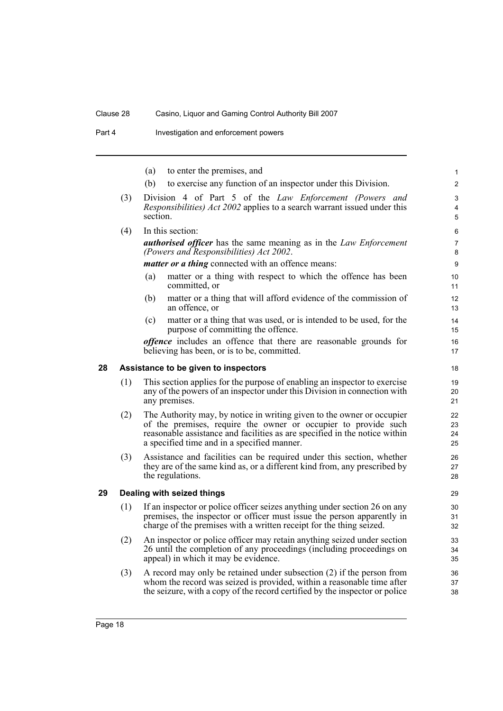Part 4 **Investigation and enforcement powers** 

<span id="page-23-1"></span><span id="page-23-0"></span>

|    |     | (a)      | to enter the premises, and                                                                                                                                                                                                                                            | $\mathbf{1}$             |
|----|-----|----------|-----------------------------------------------------------------------------------------------------------------------------------------------------------------------------------------------------------------------------------------------------------------------|--------------------------|
|    |     | (b)      | to exercise any function of an inspector under this Division.                                                                                                                                                                                                         | 2                        |
|    | (3) | section. | Division 4 of Part 5 of the Law Enforcement (Powers and<br><i>Responsibilities) Act 2002</i> applies to a search warrant issued under this                                                                                                                            | 3<br>$\overline{4}$<br>5 |
|    | (4) |          | In this section:                                                                                                                                                                                                                                                      | 6                        |
|    |     |          | <b>authorised officer</b> has the same meaning as in the Law Enforcement<br>(Powers and Responsibilities) Act 2002.                                                                                                                                                   | $\overline{7}$<br>8      |
|    |     |          | <i>matter or a thing</i> connected with an offence means:                                                                                                                                                                                                             | 9                        |
|    |     | (a)      | matter or a thing with respect to which the offence has been<br>committed, or                                                                                                                                                                                         | 10<br>11                 |
|    |     | (b)      | matter or a thing that will afford evidence of the commission of<br>an offence, or                                                                                                                                                                                    | 12<br>13                 |
|    |     | (c)      | matter or a thing that was used, or is intended to be used, for the<br>purpose of committing the offence.                                                                                                                                                             | 14<br>15                 |
|    |     |          | <i>offence</i> includes an offence that there are reasonable grounds for<br>believing has been, or is to be, committed.                                                                                                                                               | 16<br>17                 |
| 28 |     |          | Assistance to be given to inspectors                                                                                                                                                                                                                                  | 18                       |
|    | (1) |          | This section applies for the purpose of enabling an inspector to exercise<br>any of the powers of an inspector under this Division in connection with<br>any premises.                                                                                                | 19<br>20<br>21           |
|    | (2) |          | The Authority may, by notice in writing given to the owner or occupier<br>of the premises, require the owner or occupier to provide such<br>reasonable assistance and facilities as are specified in the notice within<br>a specified time and in a specified manner. | 22<br>23<br>24<br>25     |
|    | (3) |          | Assistance and facilities can be required under this section, whether<br>they are of the same kind as, or a different kind from, any prescribed by<br>the regulations.                                                                                                | 26<br>27<br>28           |
| 29 |     |          | Dealing with seized things                                                                                                                                                                                                                                            | 29                       |
|    | (1) |          | If an inspector or police officer seizes anything under section 26 on any<br>premises, the inspector or officer must issue the person apparently in<br>charge of the premises with a written receipt for the thing seized.                                            | 30<br>31<br>32           |
|    | (2) |          | An inspector or police officer may retain anything seized under section<br>26 until the completion of any proceedings (including proceedings on<br>appeal) in which it may be evidence.                                                                               | 33<br>34<br>35           |
|    | (3) |          | A record may only be retained under subsection $(2)$ if the person from<br>whom the record was seized is provided, within a reasonable time after<br>the seizure, with a copy of the record certified by the inspector or police                                      | 36<br>37<br>38           |
|    |     |          |                                                                                                                                                                                                                                                                       |                          |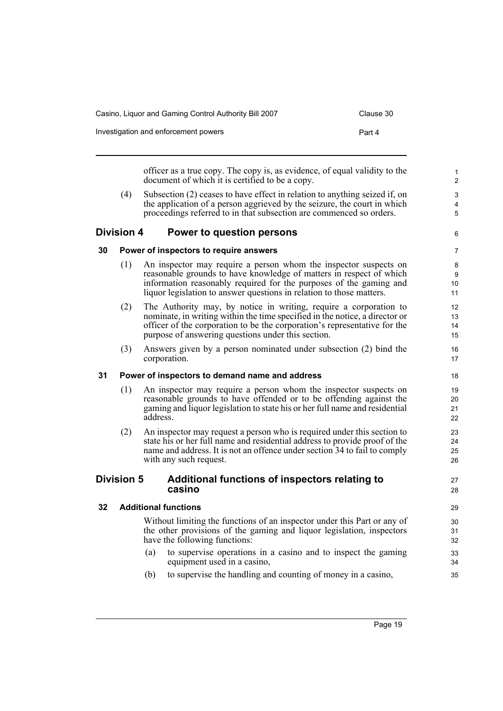| Casino, Liguor and Gaming Control Authority Bill 2007 | Clause 30 |
|-------------------------------------------------------|-----------|
| Investigation and enforcement powers                  | Part 4    |

officer as a true copy. The copy is, as evidence, of equal validity to the document of which it is certified to be a copy.

(4) Subsection (2) ceases to have effect in relation to anything seized if, on the application of a person aggrieved by the seizure, the court in which proceedings referred to in that subsection are commenced so orders.

# <span id="page-24-0"></span>**Division 4 Power to question persons**

6 7

27 28

# <span id="page-24-1"></span>**30 Power of inspectors to require answers**

- (1) An inspector may require a person whom the inspector suspects on reasonable grounds to have knowledge of matters in respect of which information reasonably required for the purposes of the gaming and liquor legislation to answer questions in relation to those matters.
- (2) The Authority may, by notice in writing, require a corporation to nominate, in writing within the time specified in the notice, a director or officer of the corporation to be the corporation's representative for the purpose of answering questions under this section.
- (3) Answers given by a person nominated under subsection (2) bind the corporation.

# <span id="page-24-2"></span>**31 Power of inspectors to demand name and address**

- (1) An inspector may require a person whom the inspector suspects on reasonable grounds to have offended or to be offending against the gaming and liquor legislation to state his or her full name and residential address.
- (2) An inspector may request a person who is required under this section to state his or her full name and residential address to provide proof of the name and address. It is not an offence under section 34 to fail to comply with any such request.

# <span id="page-24-3"></span>**Division 5 Additional functions of inspectors relating to casino**

# <span id="page-24-4"></span>**32 Additional functions**

Without limiting the functions of an inspector under this Part or any of the other provisions of the gaming and liquor legislation, inspectors have the following functions:

- (a) to supervise operations in a casino and to inspect the gaming equipment used in a casino,
- (b) to supervise the handling and counting of money in a casino,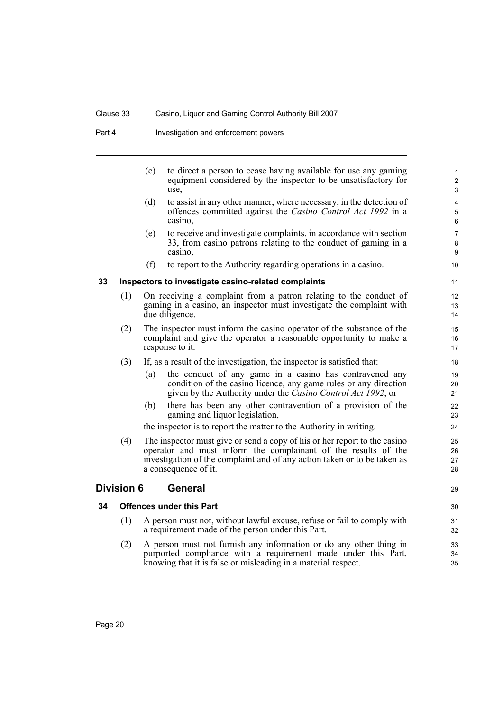Part 4 **Investigation and enforcement powers** 

<span id="page-25-2"></span><span id="page-25-1"></span><span id="page-25-0"></span>

|    |                   | (c) | to direct a person to cease having available for use any gaming<br>equipment considered by the inspector to be unsatisfactory for<br>use,                                                                                                       | 1<br>$\overline{2}$<br>3 |
|----|-------------------|-----|-------------------------------------------------------------------------------------------------------------------------------------------------------------------------------------------------------------------------------------------------|--------------------------|
|    |                   | (d) | to assist in any other manner, where necessary, in the detection of<br>offences committed against the <i>Casino Control Act 1992</i> in a<br>casino,                                                                                            | 4<br>5<br>6              |
|    |                   | (e) | to receive and investigate complaints, in accordance with section<br>33, from casino patrons relating to the conduct of gaming in a<br>casino,                                                                                                  | 7<br>8<br>9              |
|    |                   | (f) | to report to the Authority regarding operations in a casino.                                                                                                                                                                                    | 10                       |
| 33 |                   |     | Inspectors to investigate casino-related complaints                                                                                                                                                                                             | 11                       |
|    | (1)               |     | On receiving a complaint from a patron relating to the conduct of<br>gaming in a casino, an inspector must investigate the complaint with<br>due diligence.                                                                                     | 12<br>13<br>14           |
|    | (2)               |     | The inspector must inform the casino operator of the substance of the<br>complaint and give the operator a reasonable opportunity to make a<br>response to it.                                                                                  | 15<br>16<br>17           |
|    | (3)               |     | If, as a result of the investigation, the inspector is satisfied that:                                                                                                                                                                          | 18                       |
|    |                   | (a) | the conduct of any game in a casino has contravened any<br>condition of the casino licence, any game rules or any direction<br>given by the Authority under the <i>Casino Control Act 1992</i> , or                                             | 19<br>20<br>21           |
|    |                   | (b) | there has been any other contravention of a provision of the<br>gaming and liquor legislation,                                                                                                                                                  | 22<br>23                 |
|    |                   |     | the inspector is to report the matter to the Authority in writing.                                                                                                                                                                              | 24                       |
|    | (4)               |     | The inspector must give or send a copy of his or her report to the casino<br>operator and must inform the complainant of the results of the<br>investigation of the complaint and of any action taken or to be taken as<br>a consequence of it. | 25<br>26<br>27<br>28     |
|    | <b>Division 6</b> |     | <b>General</b>                                                                                                                                                                                                                                  | 29                       |
| 34 |                   |     | <b>Offences under this Part</b>                                                                                                                                                                                                                 | 30                       |
|    | (1)               |     | A person must not, without lawful excuse, refuse or fail to comply with<br>a requirement made of the person under this Part.                                                                                                                    | 31<br>32                 |
|    | (2)               |     | A person must not furnish any information or do any other thing in<br>purported compliance with a requirement made under this Part,<br>knowing that it is false or misleading in a material respect.                                            | 33<br>34<br>35           |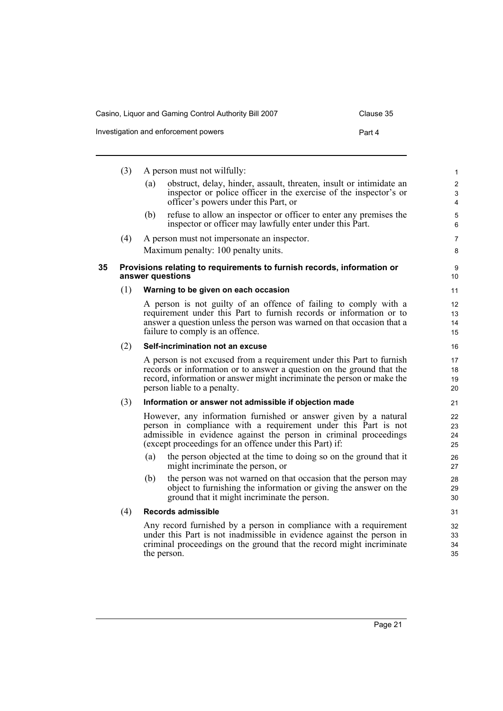| Casino, Liquor and Gaming Control Authority Bill 2007 | Clause 35 |
|-------------------------------------------------------|-----------|
| Investigation and enforcement powers                  | Part 4    |

<span id="page-26-0"></span>

|    | (3) | A person must not wilfully:                                                                                                                                                                                                                                       | 1                                                       |
|----|-----|-------------------------------------------------------------------------------------------------------------------------------------------------------------------------------------------------------------------------------------------------------------------|---------------------------------------------------------|
|    |     | obstruct, delay, hinder, assault, threaten, insult or intimidate an<br>(a)<br>inspector or police officer in the exercise of the inspector's or<br>officer's powers under this Part, or                                                                           | $\overline{\mathbf{c}}$<br>3<br>$\overline{\mathbf{4}}$ |
|    |     | refuse to allow an inspector or officer to enter any premises the<br>(b)<br>inspector or officer may lawfully enter under this Part.                                                                                                                              | 5<br>6                                                  |
|    | (4) | A person must not impersonate an inspector.                                                                                                                                                                                                                       | 7                                                       |
|    |     | Maximum penalty: 100 penalty units.                                                                                                                                                                                                                               | 8                                                       |
| 35 |     | Provisions relating to requirements to furnish records, information or<br>answer questions                                                                                                                                                                        | 9<br>10                                                 |
|    | (1) | Warning to be given on each occasion                                                                                                                                                                                                                              | 11                                                      |
|    |     | A person is not guilty of an offence of failing to comply with a<br>requirement under this Part to furnish records or information or to<br>answer a question unless the person was warned on that occasion that a<br>failure to comply is an offence.             | 12<br>13<br>14<br>15                                    |
|    | (2) | Self-incrimination not an excuse                                                                                                                                                                                                                                  | 16                                                      |
|    |     | A person is not excused from a requirement under this Part to furnish<br>records or information or to answer a question on the ground that the<br>record, information or answer might incriminate the person or make the<br>person liable to a penalty.           | 17<br>18<br>19<br>20                                    |
|    | (3) | Information or answer not admissible if objection made                                                                                                                                                                                                            | 21                                                      |
|    |     | However, any information furnished or answer given by a natural<br>person in compliance with a requirement under this Part is not<br>admissible in evidence against the person in criminal proceedings<br>(except proceedings for an offence under this Part) if: | 22<br>23<br>24<br>25                                    |
|    |     | the person objected at the time to doing so on the ground that it<br>(a)<br>might incriminate the person, or                                                                                                                                                      | 26<br>27                                                |
|    |     | the person was not warned on that occasion that the person may<br>(b)<br>object to furnishing the information or giving the answer on the<br>ground that it might incriminate the person.                                                                         | 28<br>29<br>30                                          |
|    | (4) | Records admissible                                                                                                                                                                                                                                                | 31                                                      |
|    |     | Any record furnished by a person in compliance with a requirement<br>under this Part is not inadmissible in evidence against the person in<br>criminal proceedings on the ground that the record might incriminate<br>the person.                                 | 32<br>33<br>34<br>35                                    |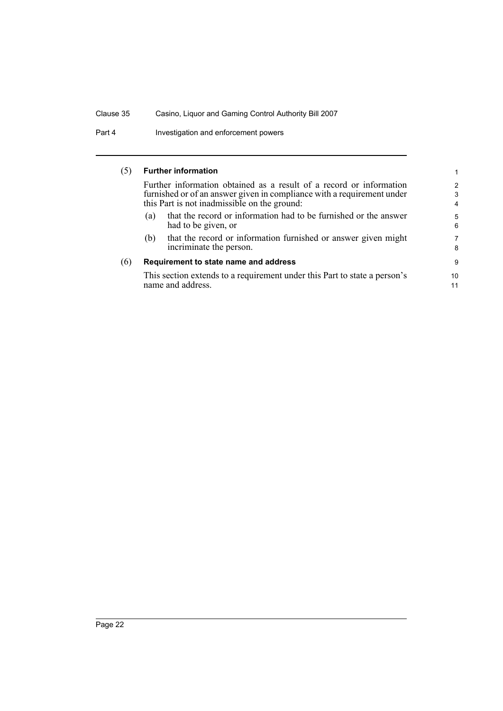Part 4 Investigation and enforcement powers

# (5) **Further information**

Further information obtained as a result of a record or information furnished or of an answer given in compliance with a requirement under this Part is not inadmissible on the ground:

- (a) that the record or information had to be furnished or the answer had to be given, or
- (b) that the record or information furnished or answer given might incriminate the person.

#### (6) **Requirement to state name and address**

This section extends to a requirement under this Part to state a person's name and address.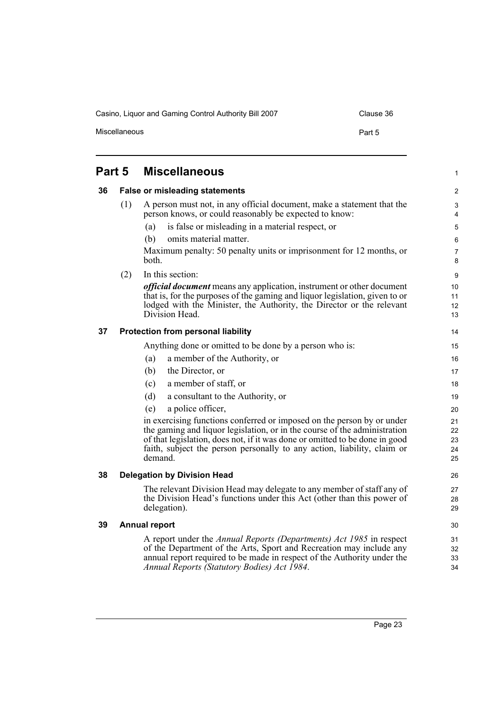Casino, Liquor and Gaming Control Authority Bill 2007 Clause 36 Miscellaneous **Part 5** 

<span id="page-28-4"></span><span id="page-28-3"></span><span id="page-28-2"></span><span id="page-28-1"></span><span id="page-28-0"></span>

| Part 5 |     | <b>Miscellaneous</b>                                                                                                                                                                                                                                                                                                     | 1                              |
|--------|-----|--------------------------------------------------------------------------------------------------------------------------------------------------------------------------------------------------------------------------------------------------------------------------------------------------------------------------|--------------------------------|
| 36     |     | <b>False or misleading statements</b>                                                                                                                                                                                                                                                                                    | 2                              |
|        | (1) | A person must not, in any official document, make a statement that the<br>person knows, or could reasonably be expected to know:                                                                                                                                                                                         | $\ensuremath{\mathsf{3}}$<br>4 |
|        |     | is false or misleading in a material respect, or<br>(a)                                                                                                                                                                                                                                                                  | 5                              |
|        |     | (b)<br>omits material matter.                                                                                                                                                                                                                                                                                            | 6                              |
|        |     | Maximum penalty: 50 penalty units or imprisonment for 12 months, or<br>both.                                                                                                                                                                                                                                             | $\overline{7}$<br>8            |
|        | (2) | In this section:                                                                                                                                                                                                                                                                                                         | 9                              |
|        |     | <i>official document</i> means any application, instrument or other document                                                                                                                                                                                                                                             | 10                             |
|        |     | that is, for the purposes of the gaming and liquor legislation, given to or<br>lodged with the Minister, the Authority, the Director or the relevant                                                                                                                                                                     | 11<br>12                       |
|        |     | Division Head.                                                                                                                                                                                                                                                                                                           | 13                             |
| 37     |     | <b>Protection from personal liability</b>                                                                                                                                                                                                                                                                                | 14                             |
|        |     | Anything done or omitted to be done by a person who is:                                                                                                                                                                                                                                                                  | 15                             |
|        |     | a member of the Authority, or<br>(a)                                                                                                                                                                                                                                                                                     | 16                             |
|        |     | (b)<br>the Director, or                                                                                                                                                                                                                                                                                                  | 17                             |
|        |     | a member of staff, or<br>(c)                                                                                                                                                                                                                                                                                             | 18                             |
|        |     | a consultant to the Authority, or<br>(d)                                                                                                                                                                                                                                                                                 | 19                             |
|        |     | (e)<br>a police officer,                                                                                                                                                                                                                                                                                                 | 20                             |
|        |     | in exercising functions conferred or imposed on the person by or under<br>the gaming and liquor legislation, or in the course of the administration<br>of that legislation, does not, if it was done or omitted to be done in good<br>faith, subject the person personally to any action, liability, claim or<br>demand. | 21<br>22<br>23<br>24<br>25     |
| 38     |     | <b>Delegation by Division Head</b>                                                                                                                                                                                                                                                                                       | 26                             |
|        |     | The relevant Division Head may delegate to any member of staff any of<br>the Division Head's functions under this Act (other than this power of<br>delegation).                                                                                                                                                          | 27<br>28<br>29                 |
| 39     |     | <b>Annual report</b>                                                                                                                                                                                                                                                                                                     | 30                             |
|        |     | A report under the Annual Reports (Departments) Act 1985 in respect<br>of the Department of the Arts, Sport and Recreation may include any<br>annual report required to be made in respect of the Authority under the<br>Annual Reports (Statutory Bodies) Act 1984.                                                     | 31<br>32<br>33<br>34           |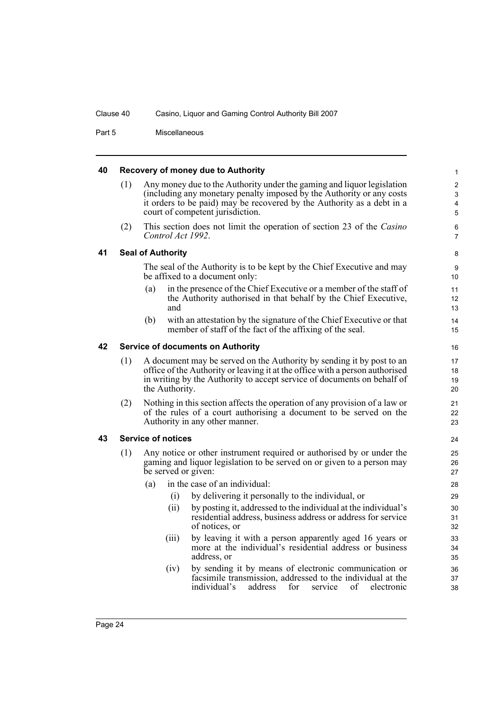Part 5 Miscellaneous

#### <span id="page-29-0"></span>**40 Recovery of money due to Authority**

(1) Any money due to the Authority under the gaming and liquor legislation (including any monetary penalty imposed by the Authority or any costs it orders to be paid) may be recovered by the Authority as a debt in a court of competent jurisdiction.

(2) This section does not limit the operation of section 23 of the *Casino Control Act 1992*.

#### <span id="page-29-1"></span>**41 Seal of Authority**

The seal of the Authority is to be kept by the Chief Executive and may be affixed to a document only:

- (a) in the presence of the Chief Executive or a member of the staff of the Authority authorised in that behalf by the Chief Executive, and
- (b) with an attestation by the signature of the Chief Executive or that member of staff of the fact of the affixing of the seal.

## <span id="page-29-2"></span>**42 Service of documents on Authority**

- (1) A document may be served on the Authority by sending it by post to an office of the Authority or leaving it at the office with a person authorised in writing by the Authority to accept service of documents on behalf of the Authority.
- (2) Nothing in this section affects the operation of any provision of a law or of the rules of a court authorising a document to be served on the Authority in any other manner.

#### <span id="page-29-3"></span>**43 Service of notices**

- (1) Any notice or other instrument required or authorised by or under the gaming and liquor legislation to be served on or given to a person may be served or given:
	- (a) in the case of an individual:
		- (i) by delivering it personally to the individual, or
		- (ii) by posting it, addressed to the individual at the individual's residential address, business address or address for service of notices, or
		- (iii) by leaving it with a person apparently aged 16 years or more at the individual's residential address or business address, or
		- (iv) by sending it by means of electronic communication or facsimile transmission, addressed to the individual at the individual's address for service of electronic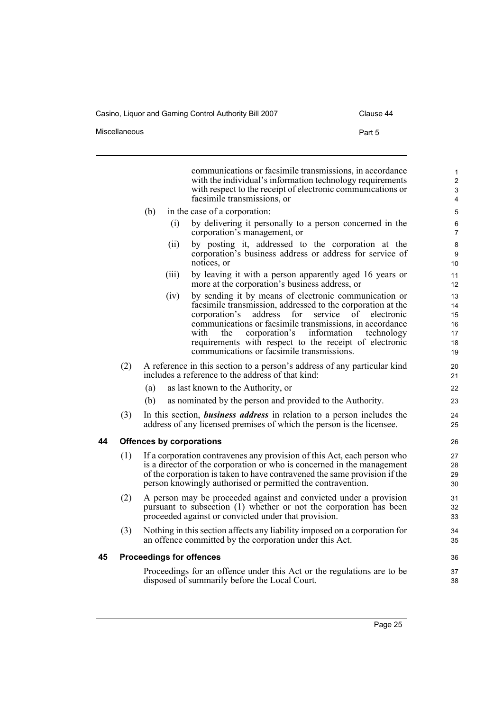<span id="page-30-1"></span><span id="page-30-0"></span>l.

Miscellaneous **Part 5** 

| Clause 44 |  |
|-----------|--|
|-----------|--|

|    |     | communications or facsimile transmissions, in accordance<br>with the individual's information technology requirements<br>with respect to the receipt of electronic communications or<br>facsimile transmissions, or                                                                                                                                                                                                             | 1<br>$\overline{2}$<br>3<br>4          |
|----|-----|---------------------------------------------------------------------------------------------------------------------------------------------------------------------------------------------------------------------------------------------------------------------------------------------------------------------------------------------------------------------------------------------------------------------------------|----------------------------------------|
|    |     | (b)<br>in the case of a corporation:                                                                                                                                                                                                                                                                                                                                                                                            | 5                                      |
|    |     | by delivering it personally to a person concerned in the<br>(i)<br>corporation's management, or                                                                                                                                                                                                                                                                                                                                 | 6<br>$\overline{7}$                    |
|    |     | by posting it, addressed to the corporation at the<br>(ii)<br>corporation's business address or address for service of<br>notices, or                                                                                                                                                                                                                                                                                           | 8<br>9<br>10                           |
|    |     | (iii)<br>by leaving it with a person apparently aged 16 years or<br>more at the corporation's business address, or                                                                                                                                                                                                                                                                                                              | 11<br>12                               |
|    |     | by sending it by means of electronic communication or<br>(iv)<br>facsimile transmission, addressed to the corporation at the<br>for<br>corporation's<br>address<br>οf<br>service<br>electronic<br>communications or facsimile transmissions, in accordance<br>corporation's<br>information<br>with<br>the<br>technology<br>requirements with respect to the receipt of electronic<br>communications or facsimile transmissions. | 13<br>14<br>15<br>16<br>17<br>18<br>19 |
|    | (2) | A reference in this section to a person's address of any particular kind<br>includes a reference to the address of that kind:                                                                                                                                                                                                                                                                                                   | 20<br>21                               |
|    |     | (a)<br>as last known to the Authority, or                                                                                                                                                                                                                                                                                                                                                                                       | 22                                     |
|    |     | (b)<br>as nominated by the person and provided to the Authority.                                                                                                                                                                                                                                                                                                                                                                | 23                                     |
|    | (3) | In this section, <i>business address</i> in relation to a person includes the<br>address of any licensed premises of which the person is the licensee.                                                                                                                                                                                                                                                                          | 24<br>25                               |
| 44 |     | <b>Offences by corporations</b>                                                                                                                                                                                                                                                                                                                                                                                                 | 26                                     |
|    | (1) | If a corporation contravenes any provision of this Act, each person who<br>is a director of the corporation or who is concerned in the management<br>of the corporation is taken to have contravened the same provision if the<br>person knowingly authorised or permitted the contravention.                                                                                                                                   | 27<br>28<br>29<br>30                   |
|    | (2) | A person may be proceeded against and convicted under a provision<br>pursuant to subsection (1) whether or not the corporation has been<br>proceeded against or convicted under that provision.                                                                                                                                                                                                                                 | 31<br>32<br>33                         |
|    | (3) | Nothing in this section affects any liability imposed on a corporation for<br>an offence committed by the corporation under this Act.                                                                                                                                                                                                                                                                                           | 34<br>35                               |
| 45 |     | <b>Proceedings for offences</b>                                                                                                                                                                                                                                                                                                                                                                                                 | 36                                     |
|    |     | Proceedings for an offence under this Act or the regulations are to be<br>disposed of summarily before the Local Court.                                                                                                                                                                                                                                                                                                         | 37<br>38                               |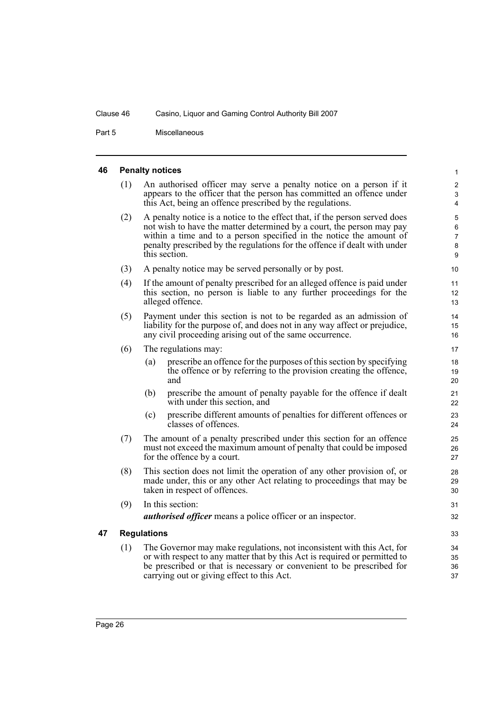Part 5 Miscellaneous

#### <span id="page-31-0"></span>**46 Penalty notices**

| (1) | An authorised officer may serve a penalty notice on a person if it    |
|-----|-----------------------------------------------------------------------|
|     | appears to the officer that the person has committed an offence under |
|     | this Act, being an offence prescribed by the regulations.             |

- (2) A penalty notice is a notice to the effect that, if the person served does not wish to have the matter determined by a court, the person may pay within a time and to a person specified in the notice the amount of penalty prescribed by the regulations for the offence if dealt with under this section.
- (3) A penalty notice may be served personally or by post.
- (4) If the amount of penalty prescribed for an alleged offence is paid under this section, no person is liable to any further proceedings for the alleged offence.
- (5) Payment under this section is not to be regarded as an admission of liability for the purpose of, and does not in any way affect or prejudice, any civil proceeding arising out of the same occurrence.
- (6) The regulations may:
	- (a) prescribe an offence for the purposes of this section by specifying the offence or by referring to the provision creating the offence, and
	- (b) prescribe the amount of penalty payable for the offence if dealt with under this section, and
	- (c) prescribe different amounts of penalties for different offences or classes of offences.
- (7) The amount of a penalty prescribed under this section for an offence must not exceed the maximum amount of penalty that could be imposed for the offence by a court.
- (8) This section does not limit the operation of any other provision of, or made under, this or any other Act relating to proceedings that may be taken in respect of offences.
- (9) In this section: *authorised officer* means a police officer or an inspector.

#### <span id="page-31-1"></span>**47 Regulations**

(1) The Governor may make regulations, not inconsistent with this Act, for or with respect to any matter that by this Act is required or permitted to be prescribed or that is necessary or convenient to be prescribed for carrying out or giving effect to this Act.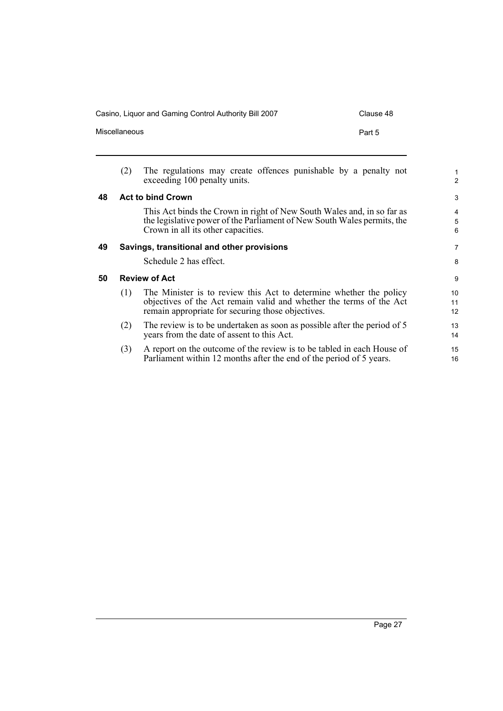<span id="page-32-2"></span><span id="page-32-1"></span><span id="page-32-0"></span>

|    | Miscellaneous | Part 5                                                                                                                                                                                         |
|----|---------------|------------------------------------------------------------------------------------------------------------------------------------------------------------------------------------------------|
|    | (2)           | The regulations may create offences punishable by a penalty not<br>exceeding 100 penalty units.                                                                                                |
| 48 |               | <b>Act to bind Crown</b>                                                                                                                                                                       |
|    |               | This Act binds the Crown in right of New South Wales and, in so far as<br>the legislative power of the Parliament of New South Wales permits, the<br>Crown in all its other capacities.        |
| 49 |               | Savings, transitional and other provisions                                                                                                                                                     |
|    |               | Schedule 2 has effect.                                                                                                                                                                         |
| 50 |               | <b>Review of Act</b>                                                                                                                                                                           |
|    | (1)           | The Minister is to review this Act to determine whether the policy<br>objectives of the Act remain valid and whether the terms of the Act<br>remain appropriate for securing those objectives. |
|    | (2)           | The review is to be undertaken as soon as possible after the period of 5<br>years from the date of assent to this Act.                                                                         |
|    | (3)           | A report on the outcome of the review is to be tabled in each House of<br>Parliament within 12 months after the end of the period of 5 years.                                                  |
|    |               |                                                                                                                                                                                                |

Casino, Liquor and Gaming Control Authority Bill 2007 Clause 48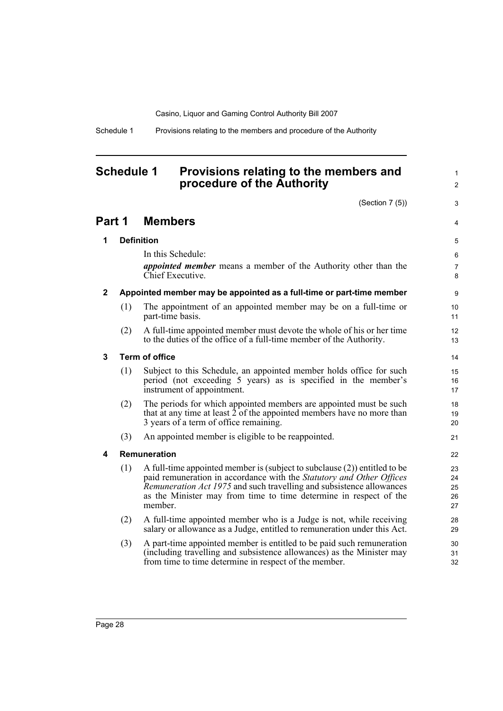Schedule 1 Provisions relating to the members and procedure of the Authority

# <span id="page-33-0"></span>**Schedule 1 Provisions relating to the members and procedure of the Authority**

(Section 7 (5))

1  $\mathfrak{p}$ 

3

4

# **Part 1 Members**

# **1 Definition**

In this Schedule: *appointed member* means a member of the Authority other than the Chief Executive.

# **2 Appointed member may be appointed as a full-time or part-time member**

- (1) The appointment of an appointed member may be on a full-time or part-time basis.
- (2) A full-time appointed member must devote the whole of his or her time to the duties of the office of a full-time member of the Authority.

# **3 Term of office**

- (1) Subject to this Schedule, an appointed member holds office for such period (not exceeding 5 years) as is specified in the member's instrument of appointment.
- (2) The periods for which appointed members are appointed must be such that at any time at least  $\hat{2}$  of the appointed members have no more than 3 years of a term of office remaining.
- (3) An appointed member is eligible to be reappointed.

# **4 Remuneration**

- (1) A full-time appointed member is (subject to subclause (2)) entitled to be paid remuneration in accordance with the *Statutory and Other Offices Remuneration Act 1975* and such travelling and subsistence allowances as the Minister may from time to time determine in respect of the member.
- (2) A full-time appointed member who is a Judge is not, while receiving salary or allowance as a Judge, entitled to remuneration under this Act.
- (3) A part-time appointed member is entitled to be paid such remuneration (including travelling and subsistence allowances) as the Minister may from time to time determine in respect of the member.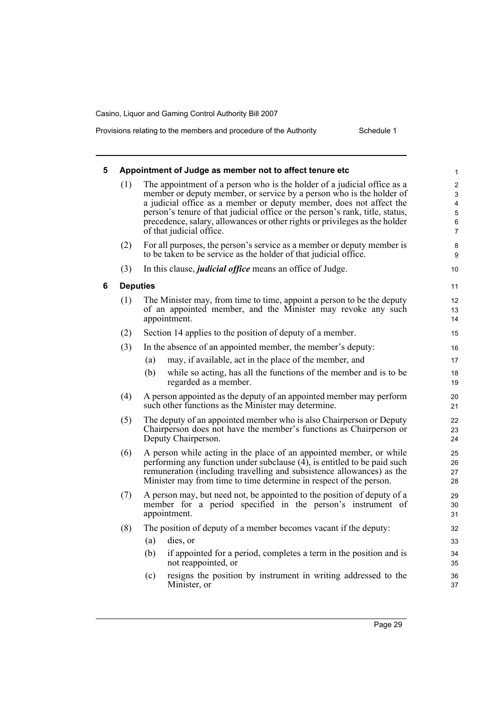Provisions relating to the members and procedure of the Authority

| Schedule 1 |  |
|------------|--|

| 5 |     | Appointment of Judge as member not to affect tenure etc                                                                                                                                                                                                                                                                                                                                                          | $\mathbf{1}$                                                               |
|---|-----|------------------------------------------------------------------------------------------------------------------------------------------------------------------------------------------------------------------------------------------------------------------------------------------------------------------------------------------------------------------------------------------------------------------|----------------------------------------------------------------------------|
|   | (1) | The appointment of a person who is the holder of a judicial office as a<br>member or deputy member, or service by a person who is the holder of<br>a judicial office as a member or deputy member, does not affect the<br>person's tenure of that judicial office or the person's rank, title, status,<br>precedence, salary, allowances or other rights or privileges as the holder<br>of that judicial office. | $\overline{c}$<br>3<br>$\overline{\mathbf{4}}$<br>5<br>6<br>$\overline{7}$ |
|   | (2) | For all purposes, the person's service as a member or deputy member is<br>to be taken to be service as the holder of that judicial office.                                                                                                                                                                                                                                                                       | 8<br>9                                                                     |
|   | (3) | In this clause, <i>judicial office</i> means an office of Judge.                                                                                                                                                                                                                                                                                                                                                 | 10                                                                         |
| 6 |     | <b>Deputies</b>                                                                                                                                                                                                                                                                                                                                                                                                  | 11                                                                         |
|   | (1) | The Minister may, from time to time, appoint a person to be the deputy<br>of an appointed member, and the Minister may revoke any such<br>appointment.                                                                                                                                                                                                                                                           | 12<br>13<br>14                                                             |
|   | (2) | Section 14 applies to the position of deputy of a member.                                                                                                                                                                                                                                                                                                                                                        | 15                                                                         |
|   | (3) | In the absence of an appointed member, the member's deputy:                                                                                                                                                                                                                                                                                                                                                      | 16                                                                         |
|   |     | may, if available, act in the place of the member, and<br>(a)                                                                                                                                                                                                                                                                                                                                                    | 17                                                                         |
|   |     | while so acting, has all the functions of the member and is to be<br>(b)<br>regarded as a member.                                                                                                                                                                                                                                                                                                                | 18<br>19                                                                   |
|   | (4) | A person appointed as the deputy of an appointed member may perform<br>such other functions as the Minister may determine.                                                                                                                                                                                                                                                                                       | 20<br>21                                                                   |
|   | (5) | The deputy of an appointed member who is also Chairperson or Deputy<br>Chairperson does not have the member's functions as Chairperson or<br>Deputy Chairperson.                                                                                                                                                                                                                                                 | 22<br>23<br>24                                                             |
|   | (6) | A person while acting in the place of an appointed member, or while<br>performing any function under subclause $(4)$ , is entitled to be paid such<br>remuneration (including travelling and subsistence allowances) as the<br>Minister may from time to time determine in respect of the person.                                                                                                                | 25<br>26<br>27<br>28                                                       |
|   | (7) | A person may, but need not, be appointed to the position of deputy of a<br>member for a period specified in the person's instrument of<br>appointment.                                                                                                                                                                                                                                                           | 29<br>30<br>31                                                             |
|   | (8) | The position of deputy of a member becomes vacant if the deputy:                                                                                                                                                                                                                                                                                                                                                 | 32                                                                         |
|   |     | (a)<br>dies, or                                                                                                                                                                                                                                                                                                                                                                                                  | 33                                                                         |
|   |     | (b)<br>if appointed for a period, completes a term in the position and is<br>not reappointed, or                                                                                                                                                                                                                                                                                                                 | 34<br>35                                                                   |
|   |     | resigns the position by instrument in writing addressed to the<br>(c)<br>Minister, or                                                                                                                                                                                                                                                                                                                            | 36<br>37                                                                   |
|   |     |                                                                                                                                                                                                                                                                                                                                                                                                                  |                                                                            |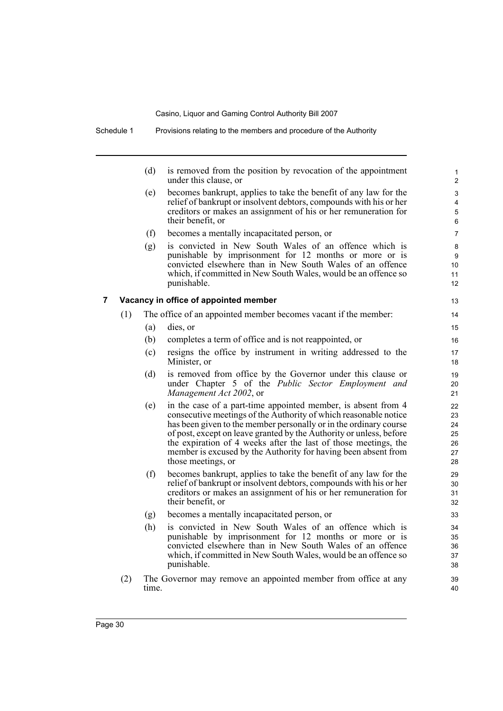(d) is removed from the position by revocation of the appointment under this clause, or

- (e) becomes bankrupt, applies to take the benefit of any law for the relief of bankrupt or insolvent debtors, compounds with his or her creditors or makes an assignment of his or her remuneration for their benefit, or
- (f) becomes a mentally incapacitated person, or
- (g) is convicted in New South Wales of an offence which is punishable by imprisonment for 12 months or more or is convicted elsewhere than in New South Wales of an offence which, if committed in New South Wales, would be an offence so punishable.

# **7 Vacancy in office of appointed member**

- (1) The office of an appointed member becomes vacant if the member:
	- (a) dies, or
	- (b) completes a term of office and is not reappointed, or
	- (c) resigns the office by instrument in writing addressed to the Minister, or
	- (d) is removed from office by the Governor under this clause or under Chapter 5 of the *Public Sector Employment and Management Act 2002*, or
	- (e) in the case of a part-time appointed member, is absent from 4 consecutive meetings of the Authority of which reasonable notice has been given to the member personally or in the ordinary course of post, except on leave granted by the Authority or unless, before the expiration of 4 weeks after the last of those meetings, the member is excused by the Authority for having been absent from those meetings, or
	- (f) becomes bankrupt, applies to take the benefit of any law for the relief of bankrupt or insolvent debtors, compounds with his or her creditors or makes an assignment of his or her remuneration for their benefit, or
	- (g) becomes a mentally incapacitated person, or
	- (h) is convicted in New South Wales of an offence which is punishable by imprisonment for 12 months or more or is convicted elsewhere than in New South Wales of an offence which, if committed in New South Wales, would be an offence so punishable.
- (2) The Governor may remove an appointed member from office at any time.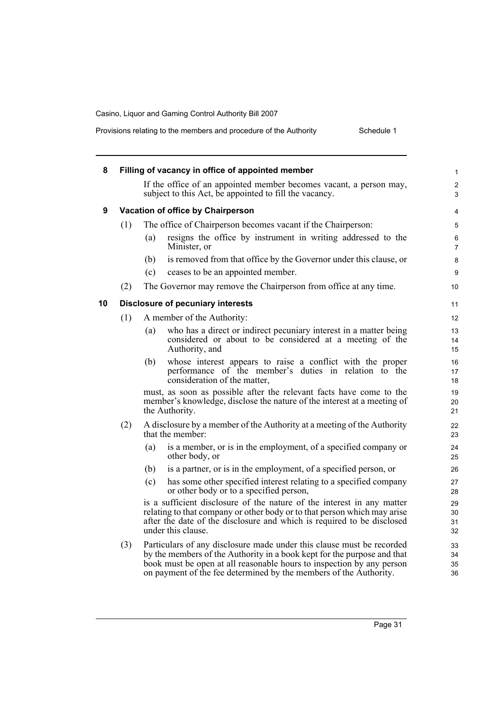| 8  |     |     | Filling of vacancy in office of appointed member                                                                                                                                                                                                                                               | $\mathbf{1}$         |
|----|-----|-----|------------------------------------------------------------------------------------------------------------------------------------------------------------------------------------------------------------------------------------------------------------------------------------------------|----------------------|
|    |     |     | If the office of an appointed member becomes vacant, a person may,<br>subject to this Act, be appointed to fill the vacancy.                                                                                                                                                                   | 2<br>$\mathfrak{S}$  |
| 9  |     |     | Vacation of office by Chairperson                                                                                                                                                                                                                                                              | 4                    |
|    | (1) |     | The office of Chairperson becomes vacant if the Chairperson:                                                                                                                                                                                                                                   | 5                    |
|    |     | (a) | resigns the office by instrument in writing addressed to the<br>Minister, or                                                                                                                                                                                                                   | 6<br>$\overline{7}$  |
|    |     | (b) | is removed from that office by the Governor under this clause, or                                                                                                                                                                                                                              | 8                    |
|    |     | (c) | ceases to be an appointed member.                                                                                                                                                                                                                                                              | 9                    |
|    | (2) |     | The Governor may remove the Chairperson from office at any time.                                                                                                                                                                                                                               | 10                   |
| 10 |     |     | <b>Disclosure of pecuniary interests</b>                                                                                                                                                                                                                                                       | 11                   |
|    | (1) |     | A member of the Authority:                                                                                                                                                                                                                                                                     | 12                   |
|    |     | (a) | who has a direct or indirect pecuniary interest in a matter being<br>considered or about to be considered at a meeting of the<br>Authority, and                                                                                                                                                | 13<br>14<br>15       |
|    |     | (b) | whose interest appears to raise a conflict with the proper<br>performance of the member's duties in relation to the<br>consideration of the matter,                                                                                                                                            | 16<br>17<br>18       |
|    |     |     | must, as soon as possible after the relevant facts have come to the<br>member's knowledge, disclose the nature of the interest at a meeting of<br>the Authority.                                                                                                                               | 19<br>20<br>21       |
|    | (2) |     | A disclosure by a member of the Authority at a meeting of the Authority<br>that the member:                                                                                                                                                                                                    | 22<br>23             |
|    |     | (a) | is a member, or is in the employment, of a specified company or<br>other body, or                                                                                                                                                                                                              | 24<br>25             |
|    |     | (b) | is a partner, or is in the employment, of a specified person, or                                                                                                                                                                                                                               | 26                   |
|    |     | (c) | has some other specified interest relating to a specified company<br>or other body or to a specified person,                                                                                                                                                                                   | 27<br>28             |
|    |     |     | is a sufficient disclosure of the nature of the interest in any matter<br>relating to that company or other body or to that person which may arise<br>after the date of the disclosure and which is required to be disclosed<br>under this clause.                                             | 29<br>30<br>31<br>32 |
|    | (3) |     | Particulars of any disclosure made under this clause must be recorded<br>by the members of the Authority in a book kept for the purpose and that<br>book must be open at all reasonable hours to inspection by any person<br>on payment of the fee determined by the members of the Authority. | 33<br>34<br>35<br>36 |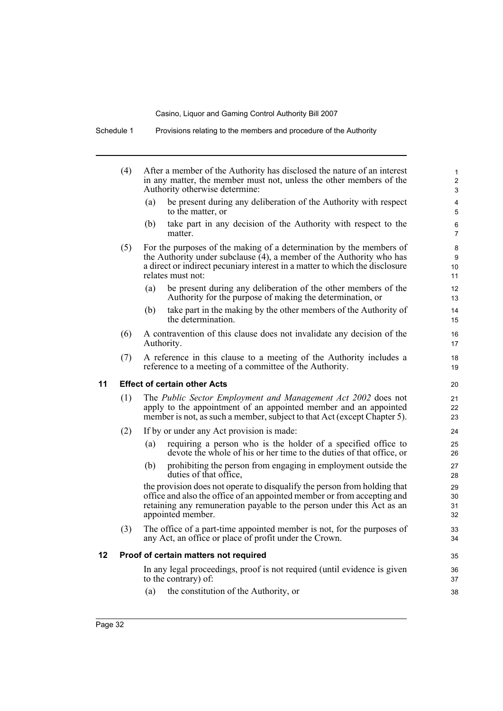|    | (4) |     | After a member of the Authority has disclosed the nature of an interest<br>in any matter, the member must not, unless the other members of the<br>Authority otherwise determine:                                                                   | $\mathbf{1}$<br>$\overline{2}$<br>3 |
|----|-----|-----|----------------------------------------------------------------------------------------------------------------------------------------------------------------------------------------------------------------------------------------------------|-------------------------------------|
|    |     | (a) | be present during any deliberation of the Authority with respect<br>to the matter, or                                                                                                                                                              | 4<br>5                              |
|    |     | (b) | take part in any decision of the Authority with respect to the<br>matter.                                                                                                                                                                          | 6<br>$\overline{7}$                 |
|    | (5) |     | For the purposes of the making of a determination by the members of<br>the Authority under subclause $(4)$ , a member of the Authority who has<br>a direct or indirect pecuniary interest in a matter to which the disclosure<br>relates must not: | 8<br>9<br>10<br>11                  |
|    |     | (a) | be present during any deliberation of the other members of the<br>Authority for the purpose of making the determination, or                                                                                                                        | 12<br>13                            |
|    |     | (b) | take part in the making by the other members of the Authority of<br>the determination.                                                                                                                                                             | 14<br>15                            |
|    | (6) |     | A contravention of this clause does not invalidate any decision of the<br>Authority.                                                                                                                                                               | 16<br>17                            |
|    | (7) |     | A reference in this clause to a meeting of the Authority includes a<br>reference to a meeting of a committee of the Authority.                                                                                                                     | 18<br>19                            |
| 11 |     |     | <b>Effect of certain other Acts</b>                                                                                                                                                                                                                | 20                                  |
|    | (1) |     | The Public Sector Employment and Management Act 2002 does not<br>apply to the appointment of an appointed member and an appointed<br>member is not, as such a member, subject to that Act (except Chapter 5).                                      | 21<br>22<br>23                      |
|    | (2) |     | If by or under any Act provision is made:                                                                                                                                                                                                          | 24                                  |
|    |     | (a) | requiring a person who is the holder of a specified office to<br>devote the whole of his or her time to the duties of that office, or                                                                                                              | 25<br>26                            |
|    |     | (b) | prohibiting the person from engaging in employment outside the<br>duties of that office,                                                                                                                                                           | 27<br>28                            |
|    |     |     | the provision does not operate to disqualify the person from holding that<br>office and also the office of an appointed member or from accepting and<br>retaining any remuneration payable to the person under this Act as an<br>appointed member. | 29<br>30<br>31<br>32                |
|    | (3) |     | The office of a part-time appointed member is not, for the purposes of<br>any Act, an office or place of profit under the Crown.                                                                                                                   | 33<br>34                            |
| 12 |     |     | Proof of certain matters not required                                                                                                                                                                                                              | 35                                  |
|    |     |     | In any legal proceedings, proof is not required (until evidence is given<br>to the contrary) of:                                                                                                                                                   | 36<br>37                            |
|    |     | (a) | the constitution of the Authority, or                                                                                                                                                                                                              | 38                                  |
|    |     |     |                                                                                                                                                                                                                                                    |                                     |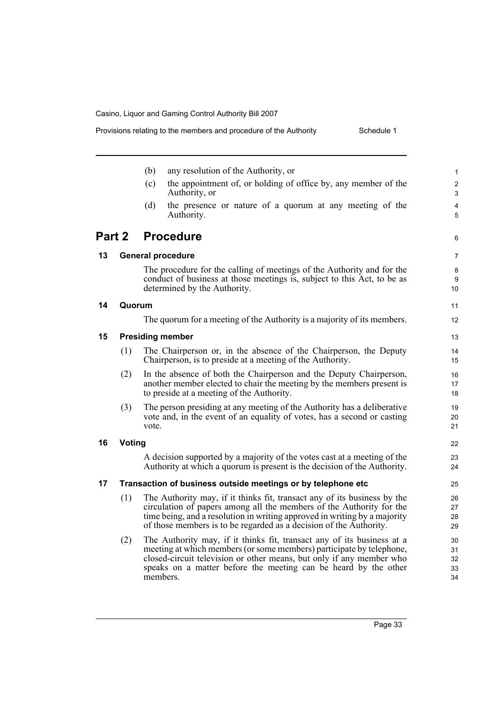Provisions relating to the members and procedure of the Authority

| Schedule 1 |  |
|------------|--|
|            |  |

|        |        | (b)<br>any resolution of the Authority, or                                                                                                                                                                                                                                                            | $\mathbf{1}$               |
|--------|--------|-------------------------------------------------------------------------------------------------------------------------------------------------------------------------------------------------------------------------------------------------------------------------------------------------------|----------------------------|
|        |        | the appointment of, or holding of office by, any member of the<br>(c)<br>Authority, or                                                                                                                                                                                                                | $\overline{2}$<br>3        |
|        |        | the presence or nature of a quorum at any meeting of the<br>(d)<br>Authority.                                                                                                                                                                                                                         | 4<br>5                     |
| Part 2 |        | <b>Procedure</b>                                                                                                                                                                                                                                                                                      | 6                          |
| 13     |        | <b>General procedure</b>                                                                                                                                                                                                                                                                              | $\overline{7}$             |
|        |        | The procedure for the calling of meetings of the Authority and for the<br>conduct of business at those meetings is, subject to this Act, to be as<br>determined by the Authority.                                                                                                                     | 8<br>9<br>10               |
| 14     | Quorum |                                                                                                                                                                                                                                                                                                       | 11                         |
|        |        | The quorum for a meeting of the Authority is a majority of its members.                                                                                                                                                                                                                               | 12                         |
| 15     |        | <b>Presiding member</b>                                                                                                                                                                                                                                                                               | 13                         |
|        | (1)    | The Chairperson or, in the absence of the Chairperson, the Deputy<br>Chairperson, is to preside at a meeting of the Authority.                                                                                                                                                                        | 14<br>15                   |
|        | (2)    | In the absence of both the Chairperson and the Deputy Chairperson,<br>another member elected to chair the meeting by the members present is<br>to preside at a meeting of the Authority.                                                                                                              | 16<br>17<br>18             |
|        | (3)    | The person presiding at any meeting of the Authority has a deliberative<br>vote and, in the event of an equality of votes, has a second or casting<br>vote.                                                                                                                                           | 19<br>20<br>21             |
| 16     | Voting |                                                                                                                                                                                                                                                                                                       | 22                         |
|        |        | A decision supported by a majority of the votes cast at a meeting of the<br>Authority at which a quorum is present is the decision of the Authority.                                                                                                                                                  | 23<br>24                   |
| 17     |        | Transaction of business outside meetings or by telephone etc                                                                                                                                                                                                                                          | 25                         |
|        | (1)    | The Authority may, if it thinks fit, transact any of its business by the<br>circulation of papers among all the members of the Authority for the<br>time being, and a resolution in writing approved in writing by a majority<br>of those members is to be regarded as a decision of the Authority.   | 26<br>27<br>28<br>29       |
|        | (2)    | The Authority may, if it thinks fit, transact any of its business at a<br>meeting at which members (or some members) participate by telephone,<br>closed-circuit television or other means, but only if any member who<br>speaks on a matter before the meeting can be heard by the other<br>members. | 30<br>31<br>32<br>33<br>34 |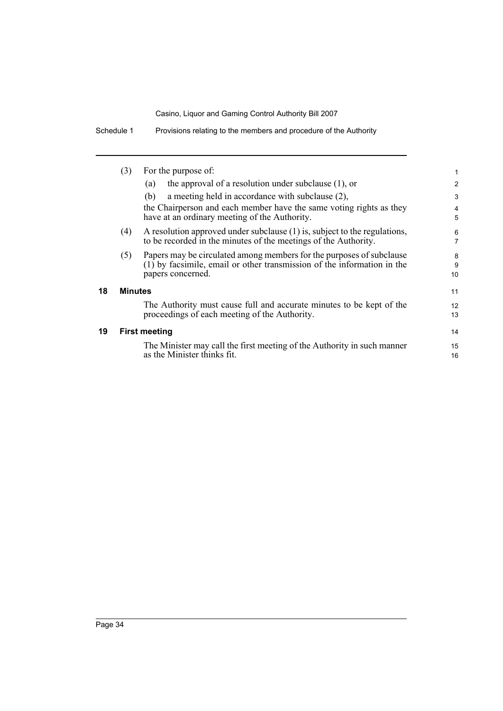Schedule 1 Provisions relating to the members and procedure of the Authority

|    | (3)                  | For the purpose of:                                                                                                                          | 1        |  |
|----|----------------------|----------------------------------------------------------------------------------------------------------------------------------------------|----------|--|
|    |                      | the approval of a resolution under subclause $(1)$ , or<br>(a)                                                                               | 2        |  |
|    |                      | a meeting held in accordance with subclause (2),<br>(b)                                                                                      | 3        |  |
|    |                      | the Chairperson and each member have the same voting rights as they<br>have at an ordinary meeting of the Authority.                         | 4<br>5   |  |
|    | (4)                  | A resolution approved under subclause (1) is, subject to the regulations,<br>to be recorded in the minutes of the meetings of the Authority. |          |  |
|    | (5)                  | Papers may be circulated among members for the purposes of subclause                                                                         | 8        |  |
|    |                      | $(1)$ by facsimile, email or other transmission of the information in the<br>papers concerned.                                               | 9<br>10  |  |
| 18 | <b>Minutes</b>       |                                                                                                                                              |          |  |
|    |                      | The Authority must cause full and accurate minutes to be kept of the<br>proceedings of each meeting of the Authority.                        | 12<br>13 |  |
| 19 | <b>First meeting</b> |                                                                                                                                              |          |  |
|    |                      | The Minister may call the first meeting of the Authority in such manner<br>as the Minister thinks fit.                                       | 15<br>16 |  |
|    |                      |                                                                                                                                              |          |  |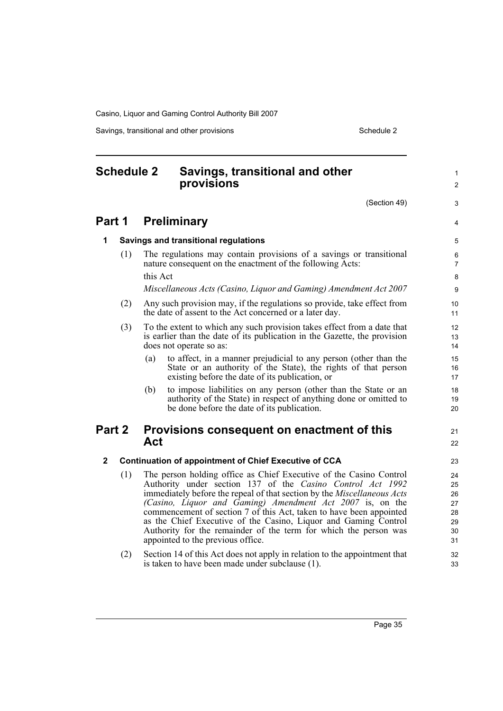Savings, transitional and other provisions Schedule 2 Schedule 2

<span id="page-40-0"></span>

|              | <b>Schedule 2</b>                                            |                                                                                                                                                                                                                                                                                                                                                                                                                                                                                                                             | Savings, transitional and other<br>provisions                                                                                                                                         |                     |  |
|--------------|--------------------------------------------------------------|-----------------------------------------------------------------------------------------------------------------------------------------------------------------------------------------------------------------------------------------------------------------------------------------------------------------------------------------------------------------------------------------------------------------------------------------------------------------------------------------------------------------------------|---------------------------------------------------------------------------------------------------------------------------------------------------------------------------------------|---------------------|--|
|              |                                                              |                                                                                                                                                                                                                                                                                                                                                                                                                                                                                                                             | (Section 49)                                                                                                                                                                          | 3                   |  |
|              | <b>Part 1</b>                                                | <b>Preliminary</b>                                                                                                                                                                                                                                                                                                                                                                                                                                                                                                          |                                                                                                                                                                                       |                     |  |
| 1            |                                                              | Savings and transitional regulations                                                                                                                                                                                                                                                                                                                                                                                                                                                                                        |                                                                                                                                                                                       |                     |  |
|              | (1)                                                          |                                                                                                                                                                                                                                                                                                                                                                                                                                                                                                                             | The regulations may contain provisions of a savings or transitional<br>nature consequent on the enactment of the following Acts:                                                      | 6<br>$\overline{7}$ |  |
|              |                                                              | this Act                                                                                                                                                                                                                                                                                                                                                                                                                                                                                                                    |                                                                                                                                                                                       | 8                   |  |
|              |                                                              |                                                                                                                                                                                                                                                                                                                                                                                                                                                                                                                             | Miscellaneous Acts (Casino, Liquor and Gaming) Amendment Act 2007                                                                                                                     | 9                   |  |
|              | (2)                                                          | Any such provision may, if the regulations so provide, take effect from<br>the date of assent to the Act concerned or a later day.                                                                                                                                                                                                                                                                                                                                                                                          |                                                                                                                                                                                       |                     |  |
|              | (3)                                                          |                                                                                                                                                                                                                                                                                                                                                                                                                                                                                                                             | To the extent to which any such provision takes effect from a date that<br>is earlier than the date of its publication in the Gazette, the provision<br>does not operate so as:       | 12<br>13<br>14      |  |
|              |                                                              | (a)                                                                                                                                                                                                                                                                                                                                                                                                                                                                                                                         | to affect, in a manner prejudicial to any person (other than the<br>State or an authority of the State), the rights of that person<br>existing before the date of its publication, or | 15<br>16<br>17      |  |
|              |                                                              | (b)                                                                                                                                                                                                                                                                                                                                                                                                                                                                                                                         | to impose liabilities on any person (other than the State or an<br>authority of the State) in respect of anything done or omitted to<br>be done before the date of its publication.   | 18<br>19<br>20      |  |
| Part 2       |                                                              | Act                                                                                                                                                                                                                                                                                                                                                                                                                                                                                                                         | Provisions consequent on enactment of this                                                                                                                                            | 21<br>22            |  |
| $\mathbf{2}$ | <b>Continuation of appointment of Chief Executive of CCA</b> |                                                                                                                                                                                                                                                                                                                                                                                                                                                                                                                             |                                                                                                                                                                                       |                     |  |
|              | (1)                                                          | The person holding office as Chief Executive of the Casino Control<br>Authority under section 137 of the Casino Control Act 1992<br>immediately before the repeal of that section by the Miscellaneous Acts<br>(Casino, Liquor and Gaming) Amendment Act 2007 is, on the<br>commencement of section 7 of this Act, taken to have been appointed<br>as the Chief Executive of the Casino, Liquor and Gaming Control<br>Authority for the remainder of the term for which the person was<br>appointed to the previous office. |                                                                                                                                                                                       |                     |  |
|              | (2)                                                          |                                                                                                                                                                                                                                                                                                                                                                                                                                                                                                                             | Section 14 of this Act does not apply in relation to the appointment that<br>is taken to have been made under subclause (1).                                                          | 32<br>33            |  |